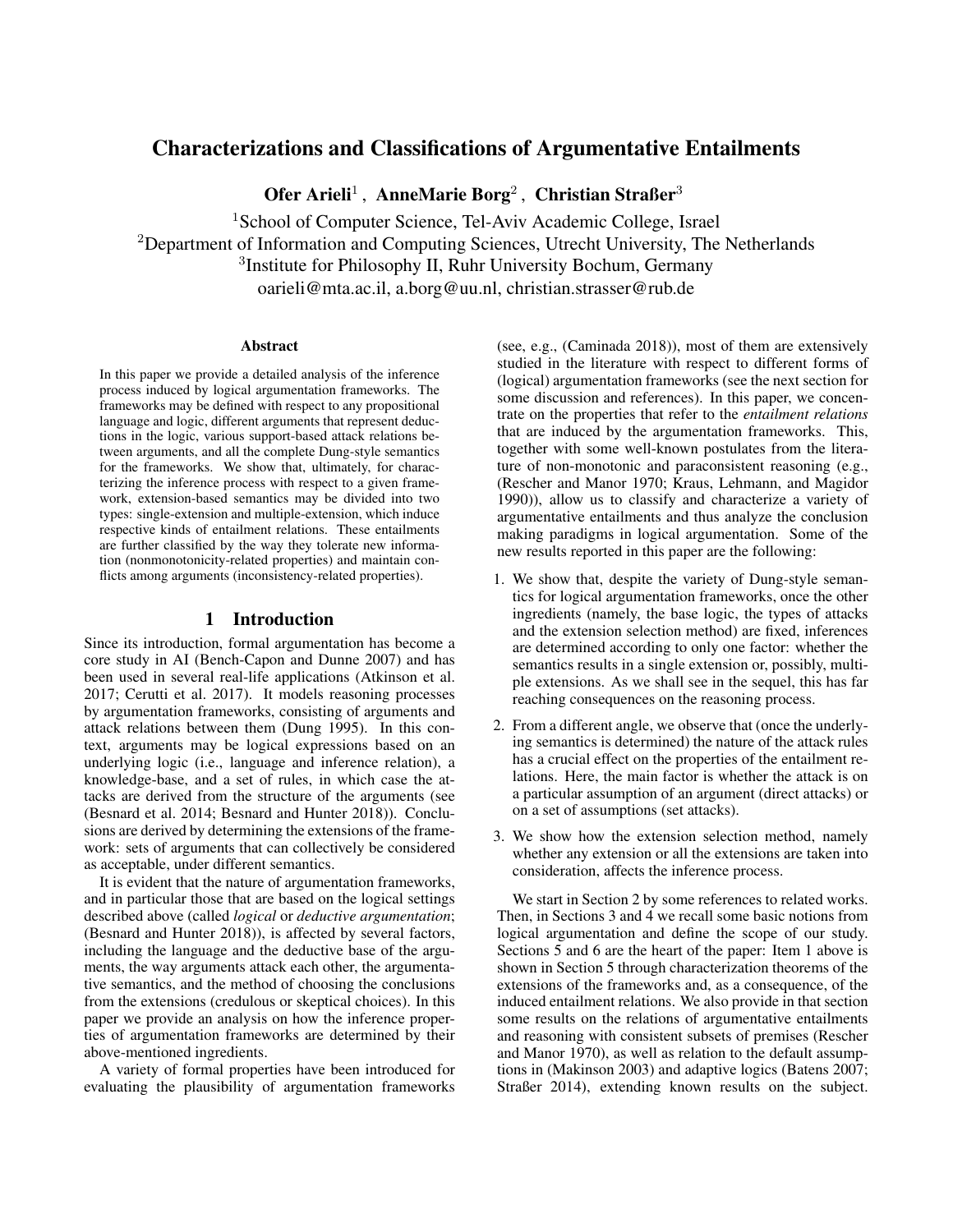# Characterizations and Classifications of Argumentative Entailments

Ofer Arieli<sup>1</sup>, AnneMarie Borg<sup>2</sup>, Christian Straßer<sup>3</sup>

<sup>1</sup> School of Computer Science, Tel-Aviv Academic College, Israel <sup>2</sup>Department of Information and Computing Sciences, Utrecht University, The Netherlands 3 Institute for Philosophy II, Ruhr University Bochum, Germany oarieli@mta.ac.il, a.borg@uu.nl, christian.strasser@rub.de

#### Abstract

In this paper we provide a detailed analysis of the inference process induced by logical argumentation frameworks. The frameworks may be defined with respect to any propositional language and logic, different arguments that represent deductions in the logic, various support-based attack relations between arguments, and all the complete Dung-style semantics for the frameworks. We show that, ultimately, for characterizing the inference process with respect to a given framework, extension-based semantics may be divided into two types: single-extension and multiple-extension, which induce respective kinds of entailment relations. These entailments are further classified by the way they tolerate new information (nonmonotonicity-related properties) and maintain conflicts among arguments (inconsistency-related properties).

### 1 Introduction

Since its introduction, formal argumentation has become a core study in AI [\(Bench-Capon and Dunne 2007\)](#page-9-0) and has been used in several real-life applications [\(Atkinson et al.](#page-9-1) [2017;](#page-9-1) [Cerutti et al. 2017\)](#page-9-2). It models reasoning processes by argumentation frameworks, consisting of arguments and attack relations between them [\(Dung 1995\)](#page-10-0). In this context, arguments may be logical expressions based on an underlying logic (i.e., language and inference relation), a knowledge-base, and a set of rules, in which case the attacks are derived from the structure of the arguments (see [\(Besnard et al. 2014;](#page-9-3) [Besnard and Hunter 2018\)](#page-9-4)). Conclusions are derived by determining the extensions of the framework: sets of arguments that can collectively be considered as acceptable, under different semantics.

It is evident that the nature of argumentation frameworks, and in particular those that are based on the logical settings described above (called *logical* or *deductive argumentation*; [\(Besnard and Hunter 2018\)](#page-9-4)), is affected by several factors, including the language and the deductive base of the arguments, the way arguments attack each other, the argumentative semantics, and the method of choosing the conclusions from the extensions (credulous or skeptical choices). In this paper we provide an analysis on how the inference properties of argumentation frameworks are determined by their above-mentioned ingredients.

A variety of formal properties have been introduced for evaluating the plausibility of argumentation frameworks (see, e.g., [\(Caminada 2018\)](#page-9-5)), most of them are extensively studied in the literature with respect to different forms of (logical) argumentation frameworks (see the next section for some discussion and references). In this paper, we concentrate on the properties that refer to the *entailment relations* that are induced by the argumentation frameworks. This, together with some well-known postulates from the literature of non-monotonic and paraconsistent reasoning (e.g., [\(Rescher and Manor 1970;](#page-10-1) [Kraus, Lehmann, and Magidor](#page-10-2) [1990\)](#page-10-2)), allow us to classify and characterize a variety of argumentative entailments and thus analyze the conclusion making paradigms in logical argumentation. Some of the new results reported in this paper are the following:

- 1. We show that, despite the variety of Dung-style semantics for logical argumentation frameworks, once the other ingredients (namely, the base logic, the types of attacks and the extension selection method) are fixed, inferences are determined according to only one factor: whether the semantics results in a single extension or, possibly, multiple extensions. As we shall see in the sequel, this has far reaching consequences on the reasoning process.
- 2. From a different angle, we observe that (once the underlying semantics is determined) the nature of the attack rules has a crucial effect on the properties of the entailment relations. Here, the main factor is whether the attack is on a particular assumption of an argument (direct attacks) or on a set of assumptions (set attacks).
- 3. We show how the extension selection method, namely whether any extension or all the extensions are taken into consideration, affects the inference process.

We start in Section [2](#page-1-0) by some references to related works. Then, in Sections [3](#page-1-1) and [4](#page-3-0) we recall some basic notions from logical argumentation and define the scope of our study. Sections [5](#page-4-0) and [6](#page-6-0) are the heart of the paper: Item 1 above is shown in Section [5](#page-4-0) through characterization theorems of the extensions of the frameworks and, as a consequence, of the induced entailment relations. We also provide in that section some results on the relations of argumentative entailments and reasoning with consistent subsets of premises [\(Rescher](#page-10-1) [and Manor 1970\)](#page-10-1), as well as relation to the default assumptions in [\(Makinson 2003\)](#page-10-3) and adaptive logics [\(Batens 2007;](#page-9-6) [Straßer 2014\)](#page-10-4), extending known results on the subject.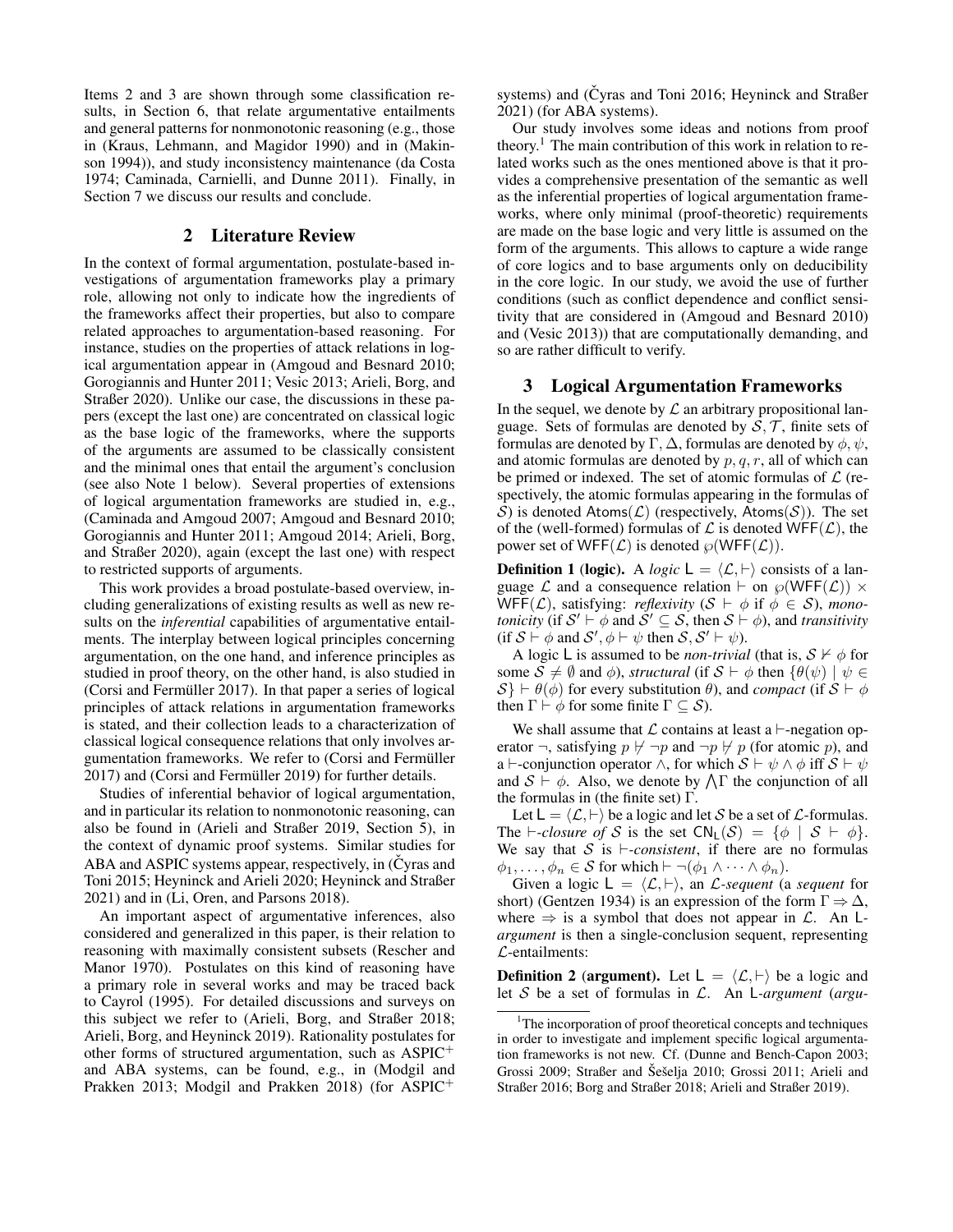Items 2 and 3 are shown through some classification results, in Section [6,](#page-6-0) that relate argumentative entailments and general patterns for nonmonotonic reasoning (e.g., those in [\(Kraus, Lehmann, and Magidor 1990\)](#page-10-2) and in [\(Makin](#page-10-5)[son 1994\)](#page-10-5)), and study inconsistency maintenance [\(da Costa](#page-10-6) [1974;](#page-10-6) [Caminada, Carnielli, and Dunne 2011\)](#page-9-7). Finally, in Section [7](#page-8-0) we discuss our results and conclude.

### 2 Literature Review

<span id="page-1-0"></span>In the context of formal argumentation, postulate-based investigations of argumentation frameworks play a primary role, allowing not only to indicate how the ingredients of the frameworks affect their properties, but also to compare related approaches to argumentation-based reasoning. For instance, studies on the properties of attack relations in logical argumentation appear in [\(Amgoud and Besnard 2010;](#page-9-8) [Gorogiannis and Hunter 2011;](#page-10-7) [Vesic 2013;](#page-10-8) [Arieli, Borg, and](#page-9-9) [Straßer 2020\)](#page-9-9). Unlike our case, the discussions in these papers (except the last one) are concentrated on classical logic as the base logic of the frameworks, where the supports of the arguments are assumed to be classically consistent and the minimal ones that entail the argument's conclusion (see also Note [1](#page-2-0) below). Several properties of extensions of logical argumentation frameworks are studied in, e.g., [\(Caminada and Amgoud 2007;](#page-9-10) [Amgoud and Besnard 2010;](#page-9-8) [Gorogiannis and Hunter 2011;](#page-10-7) [Amgoud 2014;](#page-9-11) [Arieli, Borg,](#page-9-9) [and Straßer 2020\)](#page-9-9), again (except the last one) with respect to restricted supports of arguments.

This work provides a broad postulate-based overview, including generalizations of existing results as well as new results on the *inferential* capabilities of argumentative entailments. The interplay between logical principles concerning argumentation, on the one hand, and inference principles as studied in proof theory, on the other hand, is also studied in (Corsi and Fermüller 2017). In that paper a series of logical principles of attack relations in argumentation frameworks is stated, and their collection leads to a characterization of classical logical consequence relations that only involves argumentation frameworks. We refer to (Corsi and Fermüller [2017\)](#page-9-12) and (Corsi and Fermüller 2019) for further details.

Studies of inferential behavior of logical argumentation, and in particular its relation to nonmonotonic reasoning, can also be found in [\(Arieli and Straßer 2019,](#page-9-14) Section 5), in the context of dynamic proof systems. Similar studies for ABA and ASPIC systems appear, respectively, in [\(Cyras and](#page-9-15) [Toni 2015;](#page-9-15) [Heyninck and Arieli 2020;](#page-10-9) [Heyninck and Straßer](#page-10-10) [2021\)](#page-10-10) and in [\(Li, Oren, and Parsons 2018\)](#page-10-11).

An important aspect of argumentative inferences, also considered and generalized in this paper, is their relation to reasoning with maximally consistent subsets [\(Rescher and](#page-10-1) [Manor 1970\)](#page-10-1). Postulates on this kind of reasoning have a primary role in several works and may be traced back to Cayrol [\(1995\)](#page-9-16). For detailed discussions and surveys on this subject we refer to [\(Arieli, Borg, and Straßer 2018;](#page-9-17) [Arieli, Borg, and Heyninck 2019\)](#page-9-18). Rationality postulates for other forms of structured argumentation, such as ASPIC<sup>+</sup> and ABA systems, can be found, e.g., in [\(Modgil and](#page-10-12) [Prakken 2013;](#page-10-12) [Modgil and Prakken 2018\)](#page-10-13) (for ASPIC<sup>+</sup>

systems) and (Čyras and Toni 2016; [Heyninck and Straßer](#page-10-10) [2021\)](#page-10-10) (for ABA systems).

Our study involves some ideas and notions from proof theory.<sup>[1](#page-1-2)</sup> The main contribution of this work in relation to related works such as the ones mentioned above is that it provides a comprehensive presentation of the semantic as well as the inferential properties of logical argumentation frameworks, where only minimal (proof-theoretic) requirements are made on the base logic and very little is assumed on the form of the arguments. This allows to capture a wide range of core logics and to base arguments only on deducibility in the core logic. In our study, we avoid the use of further conditions (such as conflict dependence and conflict sensitivity that are considered in [\(Amgoud and Besnard 2010\)](#page-9-8) and [\(Vesic 2013\)](#page-10-8)) that are computationally demanding, and so are rather difficult to verify.

#### <span id="page-1-1"></span>3 Logical Argumentation Frameworks

In the sequel, we denote by  $\mathcal L$  an arbitrary propositional language. Sets of formulas are denoted by  $S, \mathcal{T}$ , finite sets of formulas are denoted by  $\Gamma$ ,  $\Delta$ , formulas are denoted by  $\phi$ ,  $\psi$ , and atomic formulas are denoted by  $p, q, r$ , all of which can be primed or indexed. The set of atomic formulas of  $\mathcal L$  (respectively, the atomic formulas appearing in the formulas of S) is denoted Atoms( $\mathcal{L}$ ) (respectively, Atoms( $\mathcal{S}$ )). The set of the (well-formed) formulas of  $\mathcal L$  is denoted WFF( $\mathcal L$ ), the power set of WFF( $\mathcal{L}$ ) is denoted  $\wp(WFF(\mathcal{L}))$ .

<span id="page-1-3"></span>**Definition 1 (logic).** A *logic*  $L = \langle L, \vdash \rangle$  consists of a language  $\mathcal L$  and a consequence relation  $\vdash$  on  $\wp(WFF(\mathcal L)) \times$ WFF(*L*), satisfying: *reflexivity* ( $S \vdash \phi$  if  $\phi \in S$ ), *monotonicity* (if  $S' \vdash \phi$  and  $S' \subseteq S$ , then  $S \vdash \phi$ ), and *transitivity* (if  $S \vdash \phi$  and  $S', \phi \vdash \psi$  then  $S, S' \vdash \psi$ ).

A logic L is assumed to be *non-trivial* (that is,  $S \nvdash \phi$  for some  $S \neq \emptyset$  and  $\phi$ ), *structural* (if  $S \vdash \phi$  then  $\{\theta(\psi) \mid \psi \in \mathcal{S}\}$  $S \vdash \theta(\phi)$  for every substitution  $\theta$ ), and *compact* (if  $S \vdash \phi$ then  $\Gamma \vdash \phi$  for some finite  $\Gamma \subset \mathcal{S}$ ).

We shall assume that  $\mathcal L$  contains at least a  $\vdash$ -negation operator  $\neg$ , satisfying  $p \nvdash \neg p$  and  $\neg p \nvdash p$  (for atomic p), and a  $\vdash$ -conjunction operator  $\land$ , for which  $S \vdash \psi \land \phi$  iff  $S \vdash \psi$ and  $S \vdash \phi$ . Also, we denote by  $\bigwedge \Gamma$  the conjunction of all the formulas in (the finite set)  $\Gamma$ .

Let  $L = \langle \mathcal{L}, \vdash \rangle$  be a logic and let S be a set of  $\mathcal{L}$ -formulas. The  $\vdash$ -closure of S is the set  $CN_1(S) = \{\phi \mid S \vdash \phi\}.$ We say that S is  $\vdash$ -consistent, if there are no formulas  $\phi_1, \ldots, \phi_n \in \mathcal{S}$  for which  $\vdash \neg(\phi_1 \land \cdots \land \phi_n)$ .

Given a logic  $L = \langle \mathcal{L}, \vdash \rangle$ , an *L*-sequent (a *sequent* for short) [\(Gentzen 1934\)](#page-10-14) is an expression of the form  $\Gamma \Rightarrow \Delta$ , where  $\Rightarrow$  is a symbol that does not appear in  $\mathcal{L}$ . An L*argument* is then a single-conclusion sequent, representing  $\mathcal{L}$ -entailments:

**Definition 2 (argument).** Let  $L = \langle \mathcal{L}, \vdash \rangle$  be a logic and let S be a set of formulas in L. An L*-argument* (*argu-*

<span id="page-1-2"></span><sup>&</sup>lt;sup>1</sup>The incorporation of proof theoretical concepts and techniques in order to investigate and implement specific logical argumentation frameworks is not new. Cf. [\(Dunne and Bench-Capon 2003;](#page-10-15) [Grossi 2009;](#page-10-16) [Straßer and](#page-10-17) Šešelja 2010; [Grossi 2011;](#page-10-18) [Arieli and](#page-9-20) [Straßer 2016;](#page-9-20) [Borg and Straßer 2018;](#page-9-21) [Arieli and Straßer 2019\)](#page-9-14).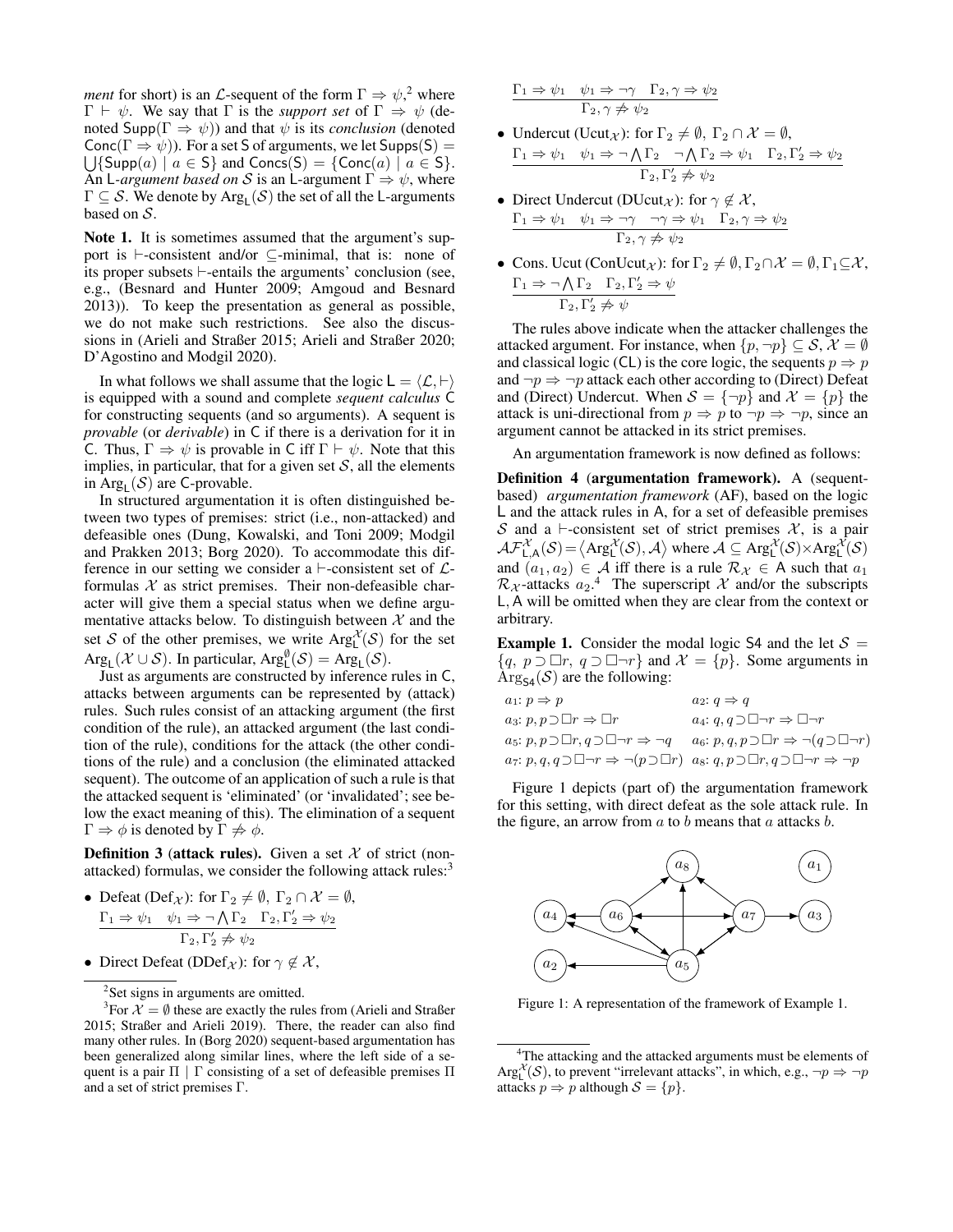*ment* for short) is an *L*-sequent of the form  $\Gamma \Rightarrow \psi$ <sup>[2](#page-2-1)</sup>, where  $\Gamma \vdash \psi$ . We say that  $\Gamma$  is the *support set* of  $\Gamma \Rightarrow \psi$  (denoted Supp( $\Gamma \Rightarrow \psi$ )) and that  $\psi$  is its *conclusion* (denoted Conc( $\Gamma \Rightarrow \psi$ )). For a set S of arguments, we let Supps(S) =  $\bigcup$ {Supp $(a) \mid a \in S$ } and Concs(S) = {Conc $(a) \mid a \in S$ }. An L-*argument based on* S is an L-argument  $\Gamma \Rightarrow \psi$ , where  $\Gamma \subseteq \mathcal{S}$ . We denote by  $\mathrm{Arg}_{\mathsf{L}}(\mathcal{S})$  the set of all the L-arguments based on S.

<span id="page-2-0"></span>Note 1. It is sometimes assumed that the argument's support is  $\vdash$ -consistent and/or  $\subseteq$ -minimal, that is: none of its proper subsets  $\vdash$ -entails the arguments' conclusion (see, e.g., [\(Besnard and Hunter 2009;](#page-9-22) [Amgoud and Besnard](#page-9-23) [2013\)](#page-9-23)). To keep the presentation as general as possible, we do not make such restrictions. See also the discussions in [\(Arieli and Straßer 2015;](#page-9-24) [Arieli and Straßer 2020;](#page-9-25) [D'Agostino and Modgil 2020\)](#page-10-19).

In what follows we shall assume that the logic  $L = \langle \mathcal{L}, \vdash \rangle$ is equipped with a sound and complete *sequent calculus* C for constructing sequents (and so arguments). A sequent is *provable* (or *derivable*) in C if there is a derivation for it in C. Thus,  $\Gamma \Rightarrow \psi$  is provable in C iff  $\Gamma \vdash \psi$ . Note that this implies, in particular, that for a given set  $S$ , all the elements in  $Arg_{L}(\mathcal{S})$  are C-provable.

In structured argumentation it is often distinguished between two types of premises: strict (i.e., non-attacked) and defeasible ones [\(Dung, Kowalski, and Toni 2009;](#page-10-20) [Modgil](#page-10-12) [and Prakken 2013;](#page-10-12) [Borg 2020\)](#page-9-26). To accommodate this difference in our setting we consider a  $\vdash$ -consistent set of  $\mathcal{L}$ formulas  $X$  as strict premises. Their non-defeasible character will give them a special status when we define argumentative attacks below. To distinguish between  $X$  and the set S of the other premises, we write  $\text{Arg}^{\mathcal{X}}_{\mathsf{L}}(\mathcal{S})$  for the set  $Arg_{L}(\mathcal{X} \cup \mathcal{S})$ . In particular,  $Arg_{L}^{\emptyset}(\mathcal{S}) = Arg_{L}(\mathcal{S})$ .

Just as arguments are constructed by inference rules in C, attacks between arguments can be represented by (attack) rules. Such rules consist of an attacking argument (the first condition of the rule), an attacked argument (the last condition of the rule), conditions for the attack (the other conditions of the rule) and a conclusion (the eliminated attacked sequent). The outcome of an application of such a rule is that the attacked sequent is 'eliminated' (or 'invalidated'; see below the exact meaning of this). The elimination of a sequent  $\Gamma \Rightarrow \phi$  is denoted by  $\Gamma \not\Rightarrow \phi$ .

<span id="page-2-6"></span>**Definition 3 (attack rules).** Given a set  $X$  of strict (nonattacked) formulas, we consider the following attack rules: $3$ 

• Defeat 
$$
(Def_{\mathcal{X}})
$$
: for  $\Gamma_2 \neq \emptyset$ ,  $\Gamma_2 \cap \mathcal{X} = \emptyset$ ,  
\n
$$
\frac{\Gamma_1 \Rightarrow \psi_1 \quad \psi_1 \Rightarrow \neg \bigwedge \Gamma_2 \quad \Gamma_2, \Gamma'_2 \Rightarrow \psi_2}{\Gamma_2, \Gamma'_2 \neq \psi_2}
$$

• Direct Defeat (DDef<sub> $\chi$ </sub>): for  $\gamma \notin \mathcal{X}$ ,

<span id="page-2-2"></span><span id="page-2-1"></span><sup>2</sup>Set signs in arguments are omitted.

$$
\frac{\Gamma_1 \Rightarrow \psi_1 \quad \psi_1 \Rightarrow \neg \gamma \quad \Gamma_2, \gamma \Rightarrow \psi_2}{\Gamma_2, \gamma \not\Rightarrow \psi_2}
$$

- Undercut (Ucut<sub> $\chi$ </sub>): for  $\Gamma_2 \neq \emptyset$ ,  $\Gamma_2 \cap \mathcal{X} = \emptyset$ ,  $\Gamma_1 \Rightarrow \psi_1 \quad \psi_1 \Rightarrow \neg \bigwedge \Gamma_2 \quad \neg \bigwedge \Gamma_2 \Rightarrow \psi_1 \quad \Gamma_2, \Gamma'_2 \Rightarrow \psi_2$  $\Gamma_2, \Gamma'_2 \not \Rightarrow \psi_2$
- Direct Undercut (DUcut<sub>X</sub>): for  $\gamma \notin \mathcal{X}$ ,  $\Gamma_1 \Rightarrow \psi_1 \quad \psi_1 \Rightarrow \neg \gamma \quad \neg \gamma \Rightarrow \psi_1 \quad \Gamma_2, \gamma \Rightarrow \psi_2$  $\Gamma_2, \gamma \not\Rightarrow \psi_2$
- Cons. Ucut (ConUcut<sub>X</sub>): for  $\Gamma_2 \neq \emptyset$ ,  $\Gamma_2 \cap \mathcal{X} = \emptyset$ ,  $\Gamma_1 \subseteq \mathcal{X}$ ,  $\Gamma_1 \Rightarrow \neg \bigwedge \Gamma_2 \quad \Gamma_2, \Gamma'_2 \Rightarrow \psi$  $\Gamma_2, \Gamma'_2 \not \Rightarrow \psi$

The rules above indicate when the attacker challenges the attacked argument. For instance, when  $\{p, \neg p\} \subseteq S$ ,  $\mathcal{X} = \emptyset$ and classical logic (CL) is the core logic, the sequents  $p \Rightarrow p$ and  $\neg p \Rightarrow \neg p$  attack each other according to (Direct) Defeat and (Direct) Undercut. When  $S = \{\neg p\}$  and  $\mathcal{X} = \{p\}$  the attack is uni-directional from  $p \Rightarrow p$  to  $\neg p \Rightarrow \neg p$ , since an argument cannot be attacked in its strict premises.

An argumentation framework is now defined as follows:

Definition 4 (argumentation framework). A (sequentbased) *argumentation framework* (AF), based on the logic L and the attack rules in A, for a set of defeasible premises S and a  $\vdash$ -consistent set of strict premises X, is a pair  $\mathcal{AF}^{\mathcal{X}}_{L,\mathsf{A}}(\mathcal{S}) = \left\langle \mathrm{Arg}^{\mathcal{X}}_L(\mathcal{S}), \mathcal{A} \right\rangle$  where  $\mathcal{A} \subseteq \mathrm{Arg}^{\mathcal{X}}_L(\mathcal{S}) \times \mathrm{Arg}^{\mathcal{X}}_L(\mathcal{S})$ and  $(a_1, a_2) \in \mathcal{A}$  iff there is a rule  $\mathcal{R}_{\mathcal{X}} \in A$  such that  $a_1$  $\mathcal{R}_{\mathcal{X}}$ -attacks  $a_2$ <sup>[4](#page-2-3)</sup> The superscript  $\mathcal{X}$  and/or the subscripts L, A will be omitted when they are clear from the context or arbitrary.

<span id="page-2-5"></span>**Example 1.** Consider the modal logic S4 and the let  $S =$  ${q, p \supset \Box r, q \supset \Box \neg r}$  and  $\mathcal{X} = {p}.$  Some arguments in  $\text{Arg}_{\mathsf{S4}}(\mathcal{S})$  are the following:

$$
a_1: p \Rightarrow p \qquad a_2: q \Rightarrow q
$$
  
\n
$$
a_3: p, p \supset \Box r \Rightarrow \Box r \qquad a_4: q, q \supset \Box \neg r \Rightarrow \Box \neg r
$$
  
\n
$$
a_5: p, p \supset \Box r, q \supset \Box \neg r \Rightarrow \neg q \qquad a_6: p, q, p \supset \Box r \Rightarrow \neg (q \supset \Box \neg r)
$$
  
\n
$$
a_7: p, q, q \supset \Box \neg r \Rightarrow \neg (p \supset \Box r) \qquad a_8: q, p \supset \Box r, q \supset \Box \neg r \Rightarrow \neg p
$$

Figure [1](#page-2-4) depicts (part of) the argumentation framework for this setting, with direct defeat as the sole attack rule. In the figure, an arrow from  $a$  to  $b$  means that  $a$  attacks  $b$ .

<span id="page-2-4"></span>

Figure 1: A representation of the framework of Example [1.](#page-2-5)

<sup>&</sup>lt;sup>3</sup>For  $\mathcal{X} = \emptyset$  these are exactly the rules from [\(Arieli and Straßer](#page-9-24) [2015;](#page-9-24) [Straßer and Arieli 2019\)](#page-10-21). There, the reader can also find many other rules. In [\(Borg 2020\)](#page-9-26) sequent-based argumentation has been generalized along similar lines, where the left side of a sequent is a pair  $\Pi \mid \Gamma$  consisting of a set of defeasible premises  $\Pi$ and a set of strict premises Γ.

<span id="page-2-3"></span><sup>&</sup>lt;sup>4</sup>The attacking and the attacked arguments must be elements of Arg<sub>L</sub><sup> $\chi$ </sup>(S), to prevent "irrelevant attacks", in which, e.g.,  $\neg p \Rightarrow \neg p$ attacks  $p \Rightarrow p$  although  $S = \{p\}.$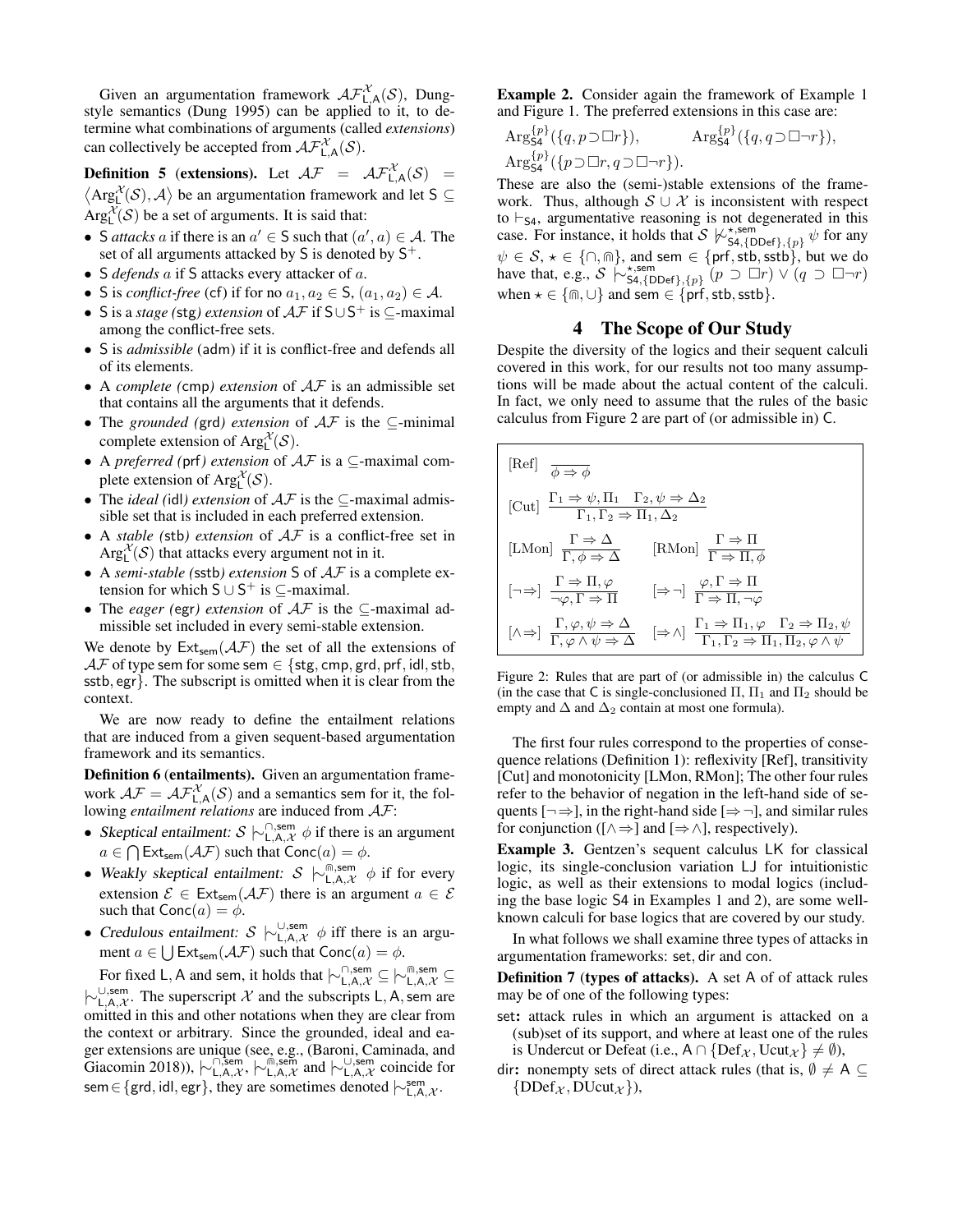Given an argumentation framework  $\mathcal{AF}_{\mathsf{L},\mathsf{A}}^{\mathcal{X}}(\mathcal{S})$ , Dungstyle semantics [\(Dung 1995\)](#page-10-0) can be applied to it, to determine what combinations of arguments (called *extensions*) can collectively be accepted from  $\mathcal{AF}_{\mathsf{L},\mathsf{A}}^{\mathcal{X}}(\mathcal{S})$ .

<span id="page-3-3"></span>**Definition 5** (extensions). Let  $A\mathcal{F} = A\mathcal{F}_{L,A}^{\mathcal{X}}(\mathcal{S}) =$  $\langle \text{Arg}^{\mathcal{X}}_{\mathsf{L}}(\mathcal{S}), \mathcal{A} \rangle$  be an argumentation framework and let S  $\subseteq$  $Arg_{L}^{\mathcal{X}}(\mathcal{S})$  be a set of arguments. It is said that:

- S *attacks* a if there is an  $a' \in S$  such that  $(a', a) \in A$ . The set of all arguments attacked by S is denoted by  $S^+$ .
- S *defends* a if S attacks every attacker of a.
- S is *conflict-free* (cf) if for no  $a_1, a_2 \in S$ ,  $(a_1, a_2) \in A$ .
- S is a *stage* (stg) *extension* of  $A\mathcal{F}$  if S∪S<sup>+</sup> is ⊆-maximal among the conflict-free sets.
- S is *admissible* (adm) if it is conflict-free and defends all of its elements.
- A *complete (*cmp*) extension* of AF is an admissible set that contains all the arguments that it defends.
- The *grounded (*grd*) extension* of AF is the ⊆-minimal complete extension of  $Arg_L^{\mathcal{X}}(\mathcal{S})$ .
- A *preferred (*prf*) extension* of AF is a ⊆-maximal complete extension of  $Arg_L^{\mathcal{X}}(\mathcal{S})$ .
- The *ideal (*idl*) extension* of AF is the ⊆-maximal admissible set that is included in each preferred extension.
- A *stable (*stb*) extension* of AF is a conflict-free set in  $Arg_{L}^{\mathcal{X}}(\mathcal{S})$  that attacks every argument not in it.
- A *semi-stable (*sstb*) extension* S of AF is a complete extension for which  $S \cup S^+$  is  $\subseteq$ -maximal.
- The *eager (*egr*) extension* of AF is the ⊆-maximal admissible set included in every semi-stable extension.

We denote by  $Ext_{sem}(\mathcal{AF})$  the set of all the extensions of  $\mathcal{AF}$  of type sem for some sem  $\in$  {stg, cmp, grd, prf, idl, stb, sstb, egr}. The subscript is omitted when it is clear from the context.

We are now ready to define the entailment relations that are induced from a given sequent-based argumentation framework and its semantics.

<span id="page-3-5"></span>Definition 6 (entailments). Given an argumentation framework  $\mathcal{AF} = \mathcal{AF}_{L,A}^{\mathcal{X}}(\mathcal{S})$  and a semantics sem for it, the following *entailment relations* are induced from AF:

- Skeptical entailment:  $S \n\sim_{\mathsf{L},\mathsf{A},\mathcal{X}}^{\cap,\mathsf{sem}} \phi$  if there is an argument  $a \in \bigcap \mathsf{Ext}_{\mathsf{sem}}(\mathcal{AF})$  such that  $\mathsf{Conc}(a) = \phi$ .
- Weakly skeptical entailment:  $S \n\sim \mathbb{R}^{\widehat{m}, \text{sem}}$   $\phi$  if for every extension  $\mathcal{E} \in \text{Ext}_{sem}(\mathcal{AF})$  there is an argument  $a \in \mathcal{E}$ such that  $Conc(a) = \phi$ .
- Credulous entailment:  $S \models_{L,A,\mathcal{X}}^{\cup, \text{sem}} \phi$  iff there is an argument  $a \in \bigcup \mathsf{Ext}_{\mathsf{sem}}(\mathcal{AF})$  such that  $\mathsf{Conc}(a) = \phi$ .

For fixed L, A and sem, it holds that  $\vdash_{L,A,\mathcal{X}}^{\cap,\text{sem}} \subseteq \vdash_{L,A,\mathcal{X}}^{\Cap,\text{sem}}$  $\vdash_{\mathsf{L},\mathsf{A},\mathcal{X}}^{\cup,\mathsf{sem}}$ . The superscript X and the subscripts L, A, sem are omitted in this and other notations when they are clear from the context or arbitrary. Since the grounded, ideal and eager extensions are unique (see, e.g., [\(Baroni, Caminada, and](#page-9-27) [Giacomin 2018\)](#page-9-27)),  $\vdash^{\square, \text{sem}}_{\mathsf{L},\mathsf{A},\mathcal{X}}, \vdash^{\square, \text{sem}}_{\mathsf{L},\mathsf{A},\mathcal{X}}$  and  $\vdash^{\square, \text{sem}}_{\mathsf{L},\mathsf{A},\mathcal{X}}$  coincide for sem ∈ {grd, idl, egr}, they are sometimes denoted  $\vdash^{\text{sem}}_{\mathsf{L},\mathsf{A},\mathcal{X}}$ .

<span id="page-3-2"></span>Example 2. Consider again the framework of Example [1](#page-2-5) and Figure [1.](#page-2-4) The preferred extensions in this case are:

$$
\operatorname{Arg}_{\mathsf{S4}}^{\{p\}}(\{q,p\supset\Box r\}), \qquad \operatorname{Arg}_{\mathsf{S4}}^{\{p\}}(\{q,q\supset\Box\neg r\}),
$$
  
\n
$$
\operatorname{Arg}_{\mathsf{S4}}^{\{p\}}(\{p\supset\Box r,q\supset\Box\neg r\}).
$$

These are also the (semi-)stable extensions of the framework. Thus, although  $S \cup \mathcal{X}$  is inconsistent with respect to  $\vdash_{\mathsf{S4}}$ , argumentative reasoning is not degenerated in this case. For instance, it holds that  $\mathcal{S} \not\vdash_{\mathsf{SA},\{\mathsf{DDef}\},\{p\}}^{\star,\mathsf{sem}} \psi$  for any  $\psi \in \mathcal{S}, \star \in \{\cap, \text{m}\},$  and sem  $\in \{\text{prf}, \text{stb}, \text{sstb}\},$  but we do have that, e.g.,  $S \not\sim_{\mathsf{SA}, \{\mathsf{DDef}\}, \{p\}}^{\star, \mathsf{sem}}(p \supset \Box r) \vee (q \supset \Box \neg r)$ when  $\star \in \{\text{m}, \cup\}$  and sem  $\in \{\text{prf}, \text{stb}, \text{sstb}\}.$ 

#### 4 The Scope of Our Study

<span id="page-3-0"></span>Despite the diversity of the logics and their sequent calculi covered in this work, for our results not too many assumptions will be made about the actual content of the calculi. In fact, we only need to assume that the rules of the basic calculus from Figure [2](#page-3-1) are part of (or admissible in) C.

<span id="page-3-1"></span>
$$
\begin{array}{|l|l|} \hline \text{[Ref]} & \overline{\phi \Rightarrow \phi} \\ \\ \hline \text{[Cut]} & \frac{\Gamma_1 \Rightarrow \psi, \Pi_1 \quad \Gamma_2, \psi \Rightarrow \Delta_2}{\Gamma_1, \Gamma_2 \Rightarrow \Pi_1, \Delta_2} \\ \\ \hline \text{[LMon]} & \frac{\Gamma \Rightarrow \Delta}{\Gamma, \phi \Rightarrow \Delta} & \text{[RMon]} & \frac{\Gamma \Rightarrow \Pi}{\Gamma \Rightarrow \Pi, \phi} \\ \\ \hline \text{[-\Rightarrow]} & \frac{\Gamma \Rightarrow \Pi, \varphi}{\neg \varphi, \Gamma \Rightarrow \Pi} & \text{[ \Rightarrow \neg ]} & \frac{\varphi, \Gamma \Rightarrow \Pi}{\Gamma \Rightarrow \Pi, \neg \varphi} \\ \\ \hline \text{[$\wedge \Rightarrow$]} & \frac{\Gamma, \varphi, \psi \Rightarrow \Delta}{\Gamma, \varphi \land \psi \Rightarrow \Delta} & \text{[ \Rightarrow \wedge ]} & \frac{\Gamma_1 \Rightarrow \Pi_1, \varphi \quad \Gamma_2 \Rightarrow \Pi_2, \psi}{\Gamma_1, \Gamma_2 \Rightarrow \Pi_1, \Pi_2, \varphi \land \psi} \end{array}
$$

Figure 2: Rules that are part of (or admissible in) the calculus C (in the case that C is single-conclusioned  $\Pi$ ,  $\Pi_1$  and  $\Pi_2$  should be empty and  $\Delta$  and  $\Delta_2$  contain at most one formula).

The first four rules correspond to the properties of consequence relations (Definition [1\)](#page-1-3): reflexivity [Ref], transitivity [Cut] and monotonicity [LMon, RMon]; The other four rules refer to the behavior of negation in the left-hand side of sequents  $\lceil \rightarrow \rightarrow \rceil$ , in the right-hand side  $\lceil \rightarrow \rightarrow \rceil$ , and similar rules for conjunction ( $[\wedge \Rightarrow]$  and  $[\Rightarrow \wedge]$ , respectively).

Example 3. Gentzen's sequent calculus LK for classical logic, its single-conclusion variation LJ for intuitionistic logic, as well as their extensions to modal logics (including the base logic S4 in Examples [1](#page-2-5) and [2\)](#page-3-2), are some wellknown calculi for base logics that are covered by our study.

In what follows we shall examine three types of attacks in argumentation frameworks: set, dir and con.

<span id="page-3-4"></span>Definition 7 (types of attacks). A set A of of attack rules may be of one of the following types:

- set: attack rules in which an argument is attacked on a (sub)set of its support, and where at least one of the rules is Undercut or Defeat (i.e.,  $A \cap \{Def_{\mathcal{X}}, \text{Ucut}_{\mathcal{X}}\} \neq \emptyset$ ),
- dir: nonempty sets of direct attack rules (that is,  $\emptyset \neq A \subseteq$  $\{DDef_{\mathcal{X}},DUcut_{\mathcal{X}}\},\$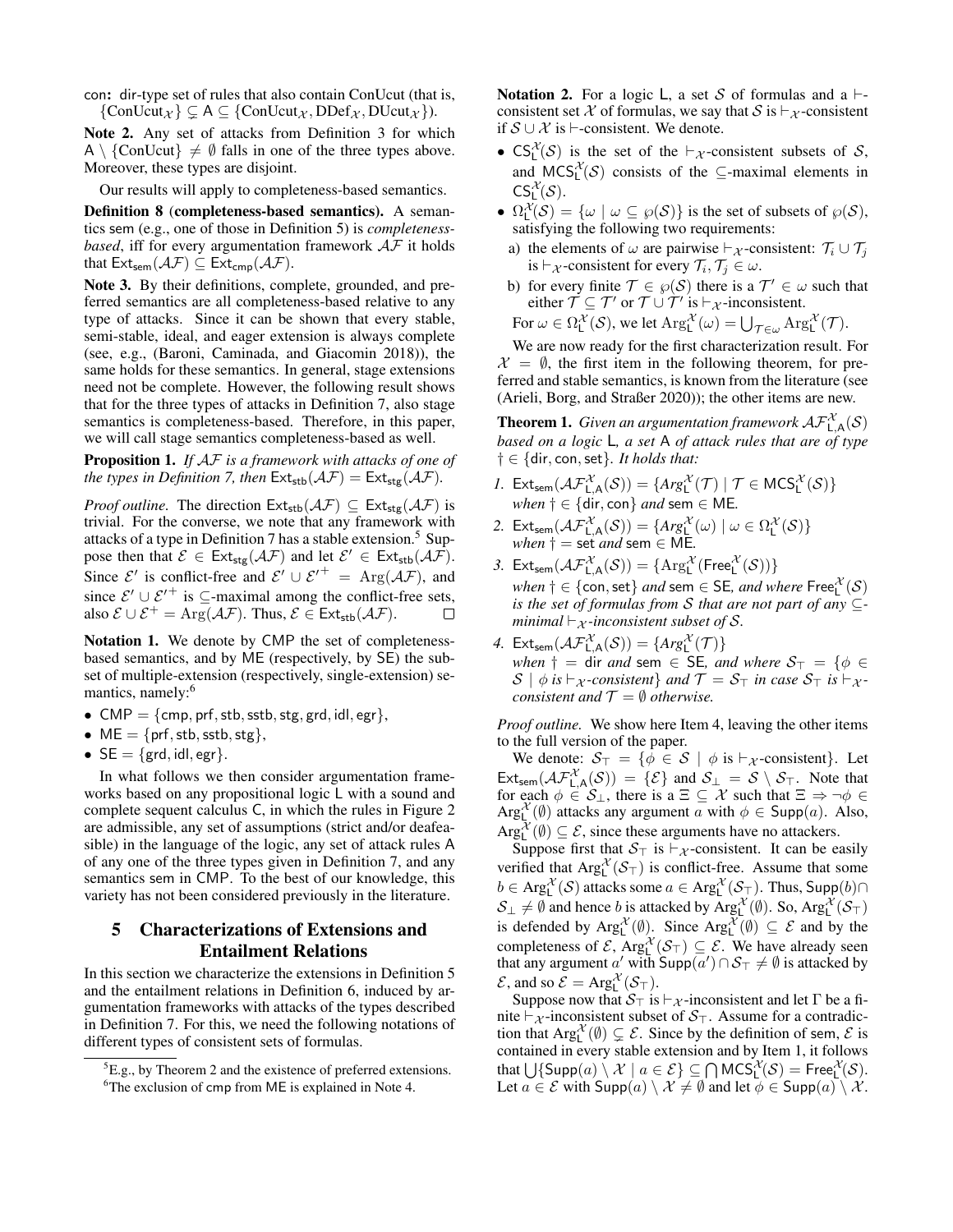con: dir-type set of rules that also contain ConUcut (that is,  $\{ConUcut_{\mathcal{X}}\}\subseteq A\subseteq \{ConUcut_{\mathcal{X}},\text{DDef}_{\mathcal{X}},\text{DUcut}_{\mathcal{X}}\}).$ 

Note 2. Any set of attacks from Definition [3](#page-2-6) for which A \ {ConUcut}  $\neq$  Ø falls in one of the three types above. Moreover, these types are disjoint.

Our results will apply to completeness-based semantics.

Definition 8 (completeness-based semantics). A semantics sem (e.g., one of those in Definition [5\)](#page-3-3) is *completenessbased*, iff for every argumentation framework  $AF$  it holds that  $\mathsf{Ext}_{sem}(\mathcal{AF}) \subseteq \mathsf{Ext}_{cmp}(\mathcal{AF})$ .

Note 3. By their definitions, complete, grounded, and preferred semantics are all completeness-based relative to any type of attacks. Since it can be shown that every stable, semi-stable, ideal, and eager extension is always complete (see, e.g., [\(Baroni, Caminada, and Giacomin 2018\)](#page-9-27)), the same holds for these semantics. In general, stage extensions need not be complete. However, the following result shows that for the three types of attacks in Definition [7,](#page-3-4) also stage semantics is completeness-based. Therefore, in this paper, we will call stage semantics completeness-based as well.

Proposition 1. *If* AF *is a framework with attacks of one of the types in Definition* [7,](#page-3-4) *then*  $\text{Ext}_{\text{stb}}(\mathcal{AF}) = \text{Ext}_{\text{stg}}(\mathcal{AF})$ *.* 

*Proof outline.* The direction  $Ext_{\text{stb}}(\mathcal{AF}) \subseteq Ext_{\text{stg}}(\mathcal{AF})$  is trivial. For the converse, we note that any framework with attacks of a type in Definition [7](#page-3-4) has a stable extension.<sup>[5](#page-4-1)</sup> Suppose then that  $\mathcal{E} \in \text{Ext}_{\text{stg}}(\mathcal{AF})$  and let  $\mathcal{E}' \in \text{Ext}_{\text{stb}}(\mathcal{AF})$ . Since  $\mathcal{E}'$  is conflict-free and  $\mathcal{E}' \cup \mathcal{E}'^+ = \text{Arg}(\mathcal{A}\mathcal{F})$ , and since  $\mathcal{E}' \cup \mathcal{E}'^+$  is  $\subseteq$ -maximal among the conflict-free sets, also  $\mathcal{E} \cup \mathcal{E}^+ = \text{Arg}(\mathcal{AF})$ . Thus,  $\mathcal{E} \in \text{Ext}_{\text{stb}}(\mathcal{AF})$ .

Notation 1. We denote by CMP the set of completenessbased semantics, and by ME (respectively, by SE) the subset of multiple-extension (respectively, single-extension) se-mantics, namely:<sup>[6](#page-4-2)</sup>

- CMP =  $\{cmp, prf, stb, stb, stg, grd, idl, egr\},\$
- $ME = \{prf, stb, stb, stg\},\$
- $SE = \{ \text{grd}, \text{id}, \text{egr} \}.$

In what follows we then consider argumentation frameworks based on any propositional logic L with a sound and complete sequent calculus C, in which the rules in Figure [2](#page-3-1) are admissible, any set of assumptions (strict and/or deafeasible) in the language of the logic, any set of attack rules A of any one of the three types given in Definition [7,](#page-3-4) and any semantics sem in CMP. To the best of our knowledge, this variety has not been considered previously in the literature.

# <span id="page-4-0"></span>5 Characterizations of Extensions and Entailment Relations

In this section we characterize the extensions in Definition [5](#page-3-3) and the entailment relations in Definition [6,](#page-3-5) induced by argumentation frameworks with attacks of the types described in Definition [7.](#page-3-4) For this, we need the following notations of different types of consistent sets of formulas.

<span id="page-4-4"></span>Notation 2. For a logic L, a set S of formulas and a  $\vdash$ consistent set X of formulas, we say that S is  $\vdash_{\mathcal{X}}$ -consistent if  $S \cup \mathcal{X}$  is  $\vdash$ -consistent. We denote.

- $CS_L^{\mathcal{X}}(\mathcal{S})$  is the set of the  $\vdash_{\mathcal{X}}$ -consistent subsets of  $\mathcal{S}$ , and  $MCS_L^{\chi}(\mathcal{S})$  consists of the  $\subseteq$ -maximal elements in  $\mathsf{CS}^\mathcal X_L(\mathcal S).$
- $\Omega_{\mathsf{L}}^{\mathcal{X}}(\mathcal{S}) = \{ \omega \mid \omega \subseteq \wp(\mathcal{S}) \}$  is the set of subsets of  $\wp(\mathcal{S})$ , satisfying the following two requirements:
- a) the elements of  $\omega$  are pairwise  $\vdash_{\mathcal{X}}$ -consistent:  $\mathcal{T}_i \cup \mathcal{T}_j$ is  $\vdash_{\mathcal{X}}$ -consistent for every  $\mathcal{T}_i, \mathcal{T}_j \in \omega$ .
- b) for every finite  $\mathcal{T} \in \mathcal{P}(\mathcal{S})$  there is a  $\mathcal{T}' \in \omega$  such that either  $\mathcal{T} \subseteq \mathcal{T}'$  or  $\mathcal{T} \cup \mathcal{T}'$  is  $\vdash_{\mathcal{X}}$ -inconsistent. For  $\omega \in \Omega_{\mathsf{L}}^{\mathcal{X}}(\mathcal{S})$ , we let  $\mathrm{Arg}_{\mathsf{L}}^{\mathcal{X}}(\omega) = \bigcup_{\mathcal{T} \in \omega} \mathrm{Arg}_{\mathsf{L}}^{\mathcal{X}}(\mathcal{T})$ .

We are now ready for the first characterization result. For  $\mathcal{X} = \emptyset$ , the first item in the following theorem, for preferred and stable semantics, is known from the literature (see [\(Arieli, Borg, and Straßer 2020\)](#page-9-9)); the other items are new.

<span id="page-4-3"></span>**Theorem 1.** Given an argumentation framework  $\mathcal{AF}_{L,A}^{\mathcal{X}}(\mathcal{S})$ *based on a logic* L*, a set* A *of attack rules that are of type* † ∈ {dir, con,set}*. It holds that:*

- *1.* Ext<sub>sem</sub>  $(\mathcal{AF}_{L,A}^{\mathcal{X}}(\mathcal{S})) = \{Arg_{L}^{\mathcal{X}}(\mathcal{T}) \mid \mathcal{T} \in \mathsf{MCS}_{L}^{\mathcal{X}}(\mathcal{S})\}$  $when \dagger \in \{dir, con\}$  *and* sem  $\in$  ME.
- 2. Ext<sub>sem</sub>  $(\mathcal{AF}_{\mathsf{L},\mathsf{A}}^{\mathcal{X}}(\mathcal{S})) = \{Arg_{\mathsf{L}}^{\mathcal{X}}(\omega) \mid \omega \in \Omega_{\mathsf{L}}^{\mathcal{X}}(\mathcal{S})\}$  $when \dagger = set \textit{ and } sem \in ME.$
- 3.  $\textsf{Ext}_{\textsf{sem}}(\mathcal{AF}^{\mathcal{X}}_{\mathsf{L},\mathsf{A}}(\mathcal{S})) = \{\textsf{Arg}^{\mathcal{X}}_{\mathsf{L}}(\textsf{Free}^{\mathcal{X}}_{\mathsf{L}}(\mathcal{S}))\}$  $when \dagger \in \{\mathsf{con},\mathsf{set}\} \ and \ \mathsf{sem} \in \mathsf{SE}, \ and \ where \ \mathsf{Free}^\mathcal{X}_\mathsf{L}(\mathcal{S})$ *is the set of formulas from* S *that are not part of any* ⊆ *minimal*  $\vdash_{\mathcal{X}}$ *-inconsistent subset of* S.
- 4. Ext<sub>sem</sub>  $(\mathcal{AF}_{\mathsf{L},\mathsf{A}}^{\mathcal{X}}(\mathcal{S})) = \{Arg_{\mathsf{L}}^{\mathcal{X}}(\mathcal{T})\}$ *when*  $\dagger$  = dir *and* sem  $\in$  SE, *and where*  $S_{\top}$  = { $\phi$   $\in$  $S \mid \phi$  *is*  $\vdash_{\mathcal{X}}$ -consistent} and  $\mathcal{T} = \mathcal{S}_{\top}$  *in case*  $\mathcal{S}_{\top}$  *is*  $\vdash_{\mathcal{X}}$ *consistent and*  $\mathcal{T} = \emptyset$  *otherwise.*

*Proof outline.* We show here Item 4, leaving the other items to the full version of the paper.

We denote:  $S_{\top} = \{ \phi \in S \mid \phi \text{ is } \vdash_{\mathcal{X}} \text{-consistent} \}.$  Let  $\text{Ext}_{\text{sem}}(\mathcal{AF}_{\mathsf{L},\mathsf{A}}^{\mathcal{X}}(\mathcal{S})) = \{\mathcal{E}\}\$  and  $\mathcal{S}_{\mathsf{L}} = \mathcal{S}\setminus\mathcal{S}_{\mathsf{T}}$ . Note that for each  $\phi \in \mathcal{S}_\perp$ , there is a  $\Xi \subseteq \mathcal{X}$  such that  $\Xi \Rightarrow \neg \phi \in \mathcal{S}_\perp$ Arg<sub>L</sub><sup> $\chi$ </sup>( $\emptyset$ ) attacks any argument  $\alpha$  with  $\phi \in \text{Supp}(a)$ . Also,  $Arg_{L}^{\mathcal{X}}(\emptyset) \subseteq \mathcal{E}$ , since these arguments have no attackers.

Suppose first that  $S_{\top}$  is  $\vdash_{\mathcal{X}}$ -consistent. It can be easily verified that  $Arg_{L}^{\mathcal{X}}(\mathcal{S}_{\top})$  is conflict-free. Assume that some  $b \in \text{Arg}^{\mathcal{X}}_L(\mathcal{S})$  attacks some  $a \in \text{Arg}^{\mathcal{X}}_L(\mathcal{S}_{\top})$ . Thus, Supp $(b) \cap$  $\mathcal{S}_\perp \neq \emptyset$  and hence b is attacked by Arg $_{\text{L}}^{\mathcal{X}}(\emptyset)$ . So, Arg $_{\text{L}}^{\mathcal{X}}(\mathcal{S}_\top)$ is defended by  $\text{Arg}_{\mathsf{L}}^{\mathcal{X}}(\emptyset)$ . Since  $\text{Arg}_{\mathsf{L}}^{\mathcal{X}}(\emptyset) \subseteq \mathcal{E}$  and by the completeness of  $\mathcal{E}$ ,  $Arg_{L}^{\mathcal{X}}(\mathcal{S}_{T}) \subseteq \mathcal{E}$ . We have already seen that any argument  $a'$  with  $\mathsf{Supp}(a') \cap \mathcal{S}_{\top} \neq \emptyset$  is attacked by  $\mathcal{E}$ , and so  $\mathcal{E} = \text{Arg}^{\mathcal{X}}_{\mathsf{L}}(\mathcal{S}_{\top}).$ 

Suppose now that  $S_{\top}$  is  $\vdash_{\mathcal{X}}$ -inconsistent and let  $\Gamma$  be a finite  $\vdash_{\mathcal{X}}$ -inconsistent subset of  $S_{\top}$ . Assume for a contradiction that  $Arg_{L}^{\mathcal{X}}(\emptyset) \subsetneq \mathcal{E}$ . Since by the definition of sem,  $\mathcal{E}$  is contained in every stable extension and by Item 1, it follows that  $\bigcup$ {Supp $(a) \setminus \mathcal{X} \mid a \in \mathcal{E}$ }  $\subseteq \bigcap \mathsf{MCS}^{\mathcal{X}}_L(\mathcal{S}) = \mathsf{Free}^{\mathcal{X}}_L(\mathcal{S})$ . Let  $a \in \mathcal{E}$  with  $\text{Supp}(a) \setminus \mathcal{X} \neq \emptyset$  and let  $\phi \in \text{Supp}(a) \setminus \mathcal{X}$ .

<span id="page-4-1"></span> ${}^{5}E.g.,$  by Theorem [2](#page-5-0) and the existence of preferred extensions.

<span id="page-4-2"></span><sup>&</sup>lt;sup>6</sup>The exclusion of cmp from ME is explained in Note [4.](#page-5-1)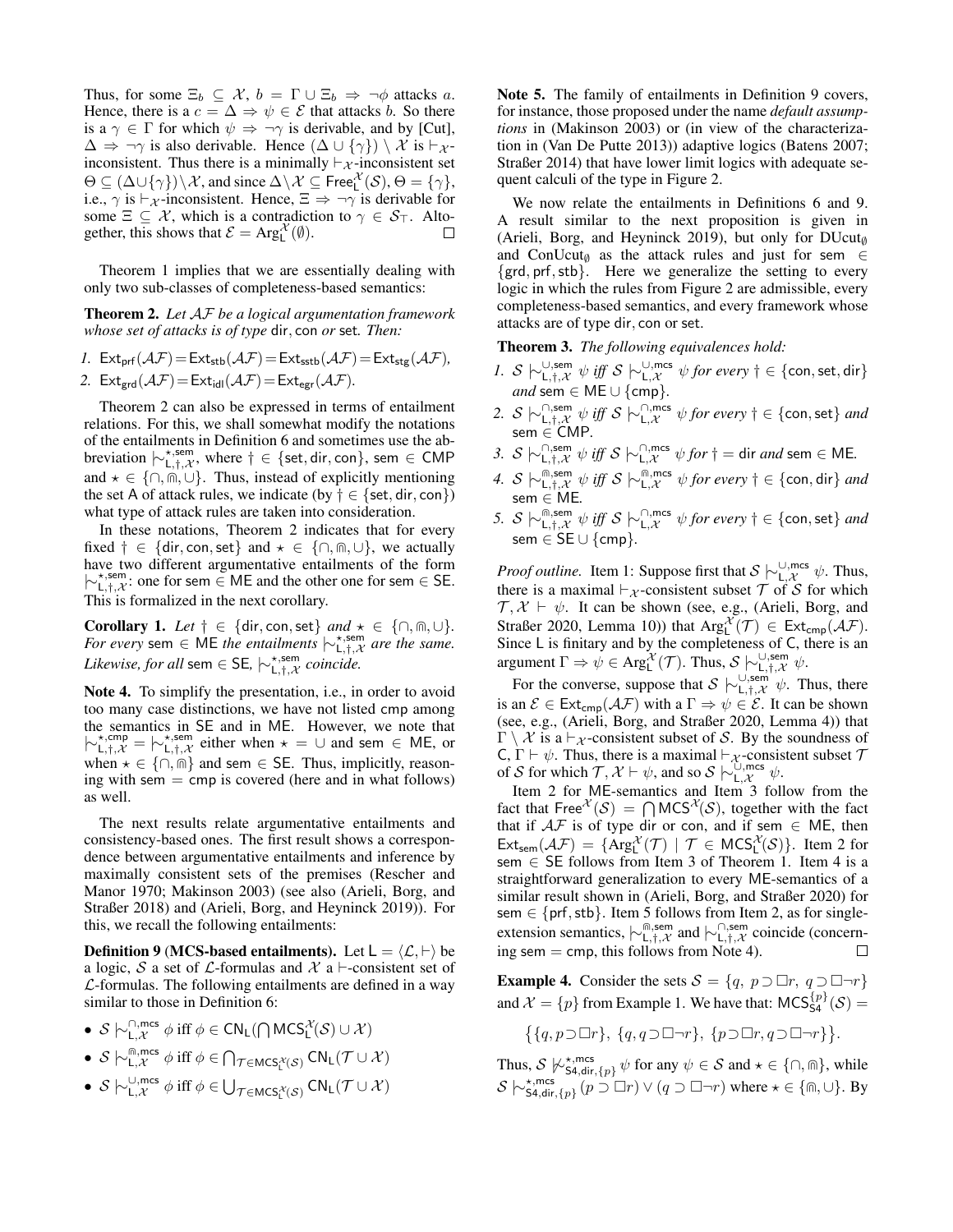Thus, for some  $\Xi_b \subseteq \mathcal{X}, b = \Gamma \cup \Xi_b \Rightarrow \neg \phi$  attacks a. Hence, there is a  $c = \Delta \Rightarrow \psi \in \mathcal{E}$  that attacks b. So there is a  $\gamma \in \Gamma$  for which  $\psi \Rightarrow \neg \gamma$  is derivable, and by [Cut],  $\Delta \Rightarrow \neg \gamma$  is also derivable. Hence  $(\Delta \cup {\gamma}) \setminus \mathcal{X}$  is  $\vdash_{\mathcal{X}}$ inconsistent. Thus there is a minimally  $\vdash_{\mathcal{X}}$ -inconsistent set  $\Theta \subseteq (\Delta \cup \{\gamma\}) \setminus \mathcal{X}$ , and since  $\Delta \setminus \mathcal{X} \subseteq \mathsf{Free}^{\mathcal{X}}_{\mathsf{L}}(\mathcal{S}), \Theta = \{\gamma\},\$ i.e.,  $\gamma$  is  $\vdash_{\mathcal{X}}$ -inconsistent. Hence,  $\Xi \Rightarrow \neg \gamma$  is derivable for some  $\Xi \subseteq \mathcal{X}$ , which is a contradiction to  $\gamma \in \mathcal{S}_{\top}$ . Altogether, this shows that  $\mathcal{E} = \text{Arg}^{\mathcal{X}}_{\mathsf{L}}(\emptyset)$ . □

Theorem [1](#page-4-3) implies that we are essentially dealing with only two sub-classes of completeness-based semantics:

<span id="page-5-0"></span>Theorem 2. *Let* AF *be a logical argumentation framework whose set of attacks is of type* dir, con *or* set*. Then:*

$$
I. \ \mathsf{Ext}_{\mathsf{prf}}(\mathcal{AF}) = \mathsf{Ext}_{\mathsf{stb}}(\mathcal{AF}) = \mathsf{Ext}_{\mathsf{sstb}}(\mathcal{AF}) = \mathsf{Ext}_{\mathsf{stg}}(\mathcal{AF}),
$$

2.  $\text{Ext}_{\text{grd}}(\mathcal{AF})=\text{Ext}_{\text{id}}(\mathcal{AF})=\text{Ext}_{\text{egr}}(\mathcal{AF})$ *.* 

Theorem [2](#page-5-0) can also be expressed in terms of entailment relations. For this, we shall somewhat modify the notations of the entailments in Definition [6](#page-3-5) and sometimes use the abbreviation  $\vdash^{\star,\textsf{sem}}_{\mathsf{L},\dagger,\mathcal{X}}$ , where  $\dagger \in \{\textsf{set},\textsf{dir},\textsf{con}\}$ , sem ∈ CMP and  $\star \in \{\cap, \widehat{\mathfrak{m}}, \cup\}$ . Thus, instead of explicitly mentioning the set A of attack rules, we indicate (by  $\dagger \in \{\text{set}, \text{dir}, \text{con}\}\$ ) what type of attack rules are taken into consideration.

In these notations, Theorem [2](#page-5-0) indicates that for every fixed  $\dagger \in \{\text{dir}, \text{con}, \text{set}\}$  and  $\star \in \{\cap, \text{fin}, \cup\}$ , we actually have two different argumentative entailments of the form  $\{\neg t, \neg t, \neg t, \neg t\}$ : one for sem ∈ ME and the other one for sem ∈ SE. This is formalized in the next corollary.

<span id="page-5-4"></span>Corollary 1. *Let*  $\dagger \in \{\text{dir}, \text{con}, \text{set}\}$  *and*  $\star \in \{\cap, \text{fin}, \cup\}.$ *For every* sem  $\in$  ME *the entailments*  $\vdash_{L,t,x}^{*,\text{sem}}$  *are the same. Likewise, for all* sem  $\in$  SE,  $\mid \sim_{L,\dagger,X}^{\star,sem}$  *coincide.* 

<span id="page-5-1"></span>Note 4. To simplify the presentation, i.e., in order to avoid too many case distinctions, we have not listed cmp among the semantics in SE and in ME. However, we note that  $\left| \sim_{L,\dagger,\mathcal{X}}^{\star, \text{emp}} \right| = \left| \sim_{L,\dagger,\mathcal{X}}^{\star, \text{sem}}$  either when  $\star = \cup$  and sem ∈ ME, or when  $\star \in \{\cap, \widehat{\mathbb{m}}\}$  and sem  $\in$  SE. Thus, implicitly, reasoning with sem  $=$  cmp is covered (here and in what follows) as well.

The next results relate argumentative entailments and consistency-based ones. The first result shows a correspondence between argumentative entailments and inference by maximally consistent sets of the premises [\(Rescher and](#page-10-1) [Manor 1970;](#page-10-1) [Makinson 2003\)](#page-10-3) (see also [\(Arieli, Borg, and](#page-9-17) [Straßer 2018\)](#page-9-17) and [\(Arieli, Borg, and Heyninck 2019\)](#page-9-18)). For this, we recall the following entailments:

<span id="page-5-2"></span>**Definition 9 (MCS-based entailments).** Let  $L = \langle \mathcal{L}, \vdash \rangle$  be a logic, S a set of L-formulas and X a  $\vdash$ -consistent set of  $\mathcal{L}$ -formulas. The following entailments are defined in a way similar to those in Definition [6:](#page-3-5)

- $S \vdash_{\mathsf{L},\mathcal{X}}^{\cap,\mathsf{mcs}} \phi \text{ iff } \phi \in \mathsf{CN}_\mathsf{L}(\bigcap \mathsf{MCS}^\mathcal{X}_\mathsf{L}(\mathcal{S}) \cup \mathcal{X})$
- $S \vdash_{\mathsf{L},\mathcal{X}}^{\widehat{\mathsf{m}},\mathsf{mcs}} \phi \text{ iff } \phi \in \bigcap_{\mathcal{T} \in \mathsf{MCS}^{\mathcal{X}}_{\mathsf{L}}(\mathcal{S})} \mathsf{CN}_{\mathsf{L}}(\mathcal{T} \cup \mathcal{X})$
- $S \vdash_{\mathsf{L},\mathcal{X}}^{\cup,\mathsf{mcs}} \phi$  iff  $\phi \in \bigcup_{\mathcal{T} \in \mathsf{MCS}^{\mathcal{X}}_{\mathsf{L}}(\mathcal{S})} \mathsf{CN}_{\mathsf{L}}(\mathcal{T} \cup \mathcal{X})$

Note 5. The family of entailments in Definition [9](#page-5-2) covers, for instance, those proposed under the name *default assumptions* in [\(Makinson 2003\)](#page-10-3) or (in view of the characterization in [\(Van De Putte 2013\)](#page-10-22)) adaptive logics [\(Batens 2007;](#page-9-6) [Straßer 2014\)](#page-10-4) that have lower limit logics with adequate sequent calculi of the type in Figure [2.](#page-3-1)

We now relate the entailments in Definitions [6](#page-3-5) and [9.](#page-5-2) A result similar to the next proposition is given in [\(Arieli, Borg, and Heyninck 2019\)](#page-9-18), but only for  $DUcu t$ <sub>0</sub> and ConUcut<sub> $\emptyset$ </sub> as the attack rules and just for sem  $\in$ {grd, prf,stb}. Here we generalize the setting to every logic in which the rules from Figure [2](#page-3-1) are admissible, every completeness-based semantics, and every framework whose attacks are of type dir, con or set.

<span id="page-5-3"></span>Theorem 3. *The following equivalences hold:*

- *1.* S  $\vdash$  ∪,\*sem  $\psi$  *iff* S  $\vdash$  ∪,\*mcs  $\psi$  for every  $\dagger \in \{\text{con}, \text{set}, \text{dir}\}$ *and* sem  $∈$  ME  $∪$  {cmp}.
- 2. S  $\downarrow \sim \bigcup_{L, \dagger, \mathcal{X}}^{\cap, \text{sem}} \psi$  *iff* S  $\downarrow \sim \bigcup_{L, \mathcal{X}}^{\cap, \text{mcs}} \psi$  *for every*  $\dagger \in \{\text{con}, \text{set}\}$  *and* sem ∈ CMP*.*
- 3.  $S \n\sim \bigcup_{L, \dagger, \mathcal{X}}^{\cap, \text{sem}} \psi \text{ iff } S \n\bigcup_{L, \mathcal{X}}^{\cap, \text{mes}} \psi \text{ for } \dagger = \text{dir} \text{ and } \text{sem } \in \mathsf{ME}.$
- *4. S*  $\downarrow \sim \bigcup_{\mathsf{L},\dagger,\mathcal{X}}^{\mathsf{m},\mathsf{sem}} \psi$  *iff S*  $\downarrow \sim \bigcup_{\mathsf{L},\mathcal{X}}^{\mathsf{m},\mathsf{mes}} \psi$  *for every* † ∈ {con, dir} *and* sem ∈ ME*.*
- *5. S*  $\downarrow$ <sup> $\sim$ [ $\sim$ , $\sim$ , $\mathcal{X}$   $\psi$  *iff S*  $\downarrow$   $\sim$   $\sim$ <sub> $\sim$ , $\mathcal{X}$ </sub>  $\psi$  *for every*  $\dagger \in$  {con, set} *and*</sup> sem ∈ SE ∪ {cmp}*.*

*Proof outline.* Item 1: Suppose first that  $S \nvert \sim_{L,\mathcal{X}}^{\cup, \text{mcs}} \psi$ . Thus, there is a maximal  $\vdash_{\mathcal{X}}$ -consistent subset  $\mathcal{T}$  of  $\mathcal{S}$  for which  $\mathcal{T}, \mathcal{X} \vdash \psi$ . It can be shown (see, e.g., [\(Arieli, Borg, and](#page-9-9) [Straßer 2020,](#page-9-9) Lemma 10)) that  $Arg_L^{\mathcal{X}}(\mathcal{T}) \in Ext_{cmp}(\mathcal{AF})$ . Since L is finitary and by the completeness of C, there is an argument  $\Gamma \Rightarrow \psi \in \text{Arg}_{\mathsf{L}}^{\mathcal{X}}(\mathcal{T})$ . Thus,  $\mathcal{S} \models_{\mathsf{L},\dagger,\mathcal{X}}^{\cup,\text{sem}} \psi$ .

For the converse, suppose that  $S \sim_{L,\dagger,\mathcal{X}}^{\cup,\text{semi}} \psi$ . Thus, there is an  $\mathcal{E} \in \text{Ext}_{\text{cmp}}(\mathcal{AF})$  with a  $\Gamma \Rightarrow \psi \in \mathcal{E}$ . It can be shown (see, e.g., [\(Arieli, Borg, and Straßer 2020,](#page-9-9) Lemma 4)) that  $\Gamma \setminus \mathcal{X}$  is a  $\vdash_{\mathcal{X}}$ -consistent subset of S. By the soundness of C,  $\Gamma \vdash \psi$ . Thus, there is a maximal  $\vdash_{\mathcal{X}}$ -consistent subset  $\mathcal{T}$ of S for which  $\mathcal{T}, \mathcal{X} \vdash \psi$ , and so S  $\vdash_{\mathsf{L},\mathcal{X}}^{\cup,\mathsf{mes}} \psi$ .

Item 2 for ME-semantics and Item 3 follow from the fact that Free  $\chi^{\mathcal{X}}(\mathcal{S}) = \bigcap \text{MCS}^{\mathcal{X}}(\mathcal{S})$ , together with the fact that if  $AF$  is of type dir or con, and if sem  $\in$  ME, then  $\text{Ext}_{\text{sem}}(\mathcal{A}\mathcal{F}) = \{\text{Arg}^{\mathcal{X}}_{\mathsf{L}}(\mathcal{T}) \mid \mathcal{T} \in \text{MCS}^{\mathcal{X}}_{\mathsf{L}}(\mathcal{S})\}.$  Item 2 for sem  $\in$  SE follows from Item 3 of Theorem [1.](#page-4-3) Item 4 is a straightforward generalization to every ME-semantics of a similar result shown in [\(Arieli, Borg, and Straßer 2020\)](#page-9-9) for sem  $\in$  {prf, stb}. Item 5 follows from Item 2, as for singleextension semantics,  $\vdash^{\cap,\text{sem}}_{\mathsf{L},\dagger,\mathcal{X}}$  and  $\vdash^{\cap,\text{sem}}_{\mathsf{L},\dagger,\mathcal{X}}$  coincide (concerning sem  $=$  cmp, this follows from Note [4\)](#page-5-1).  $\Box$ 

**Example 4.** Consider the sets  $S = \{q, p \supset \Box r, q \supset \Box \neg r\}$ and  $\mathcal{X} = \{p\}$  from Example [1.](#page-2-5) We have that:  $\mathsf{MCS}_{\mathsf{S4}}^{\{p\}}(\mathcal{S}) =$ 

$$
\{\{q,p\supset\Box r\},\ \{q,q\supset\Box\neg r\},\ \{p\supset\Box r,q\supset\Box\neg r\}\}.
$$

Thus,  $S \not\vdash_{\mathsf{SA},\mathsf{dir},\{p\}}^{\star,\mathsf{mcs}} \psi$  for any  $\psi \in S$  and  $\star \in \{\cap,\mathsf{m}\},\mathsf{while}$  $S \n\mapsto_{\mathsf{S4},\mathsf{dir},\{p\}}^{\star,\mathsf{mcs}}(p \supset \Box r) \vee (q \supset \Box \neg r)$  where  $\star \in \{\textsf{m},\cup\}$ . By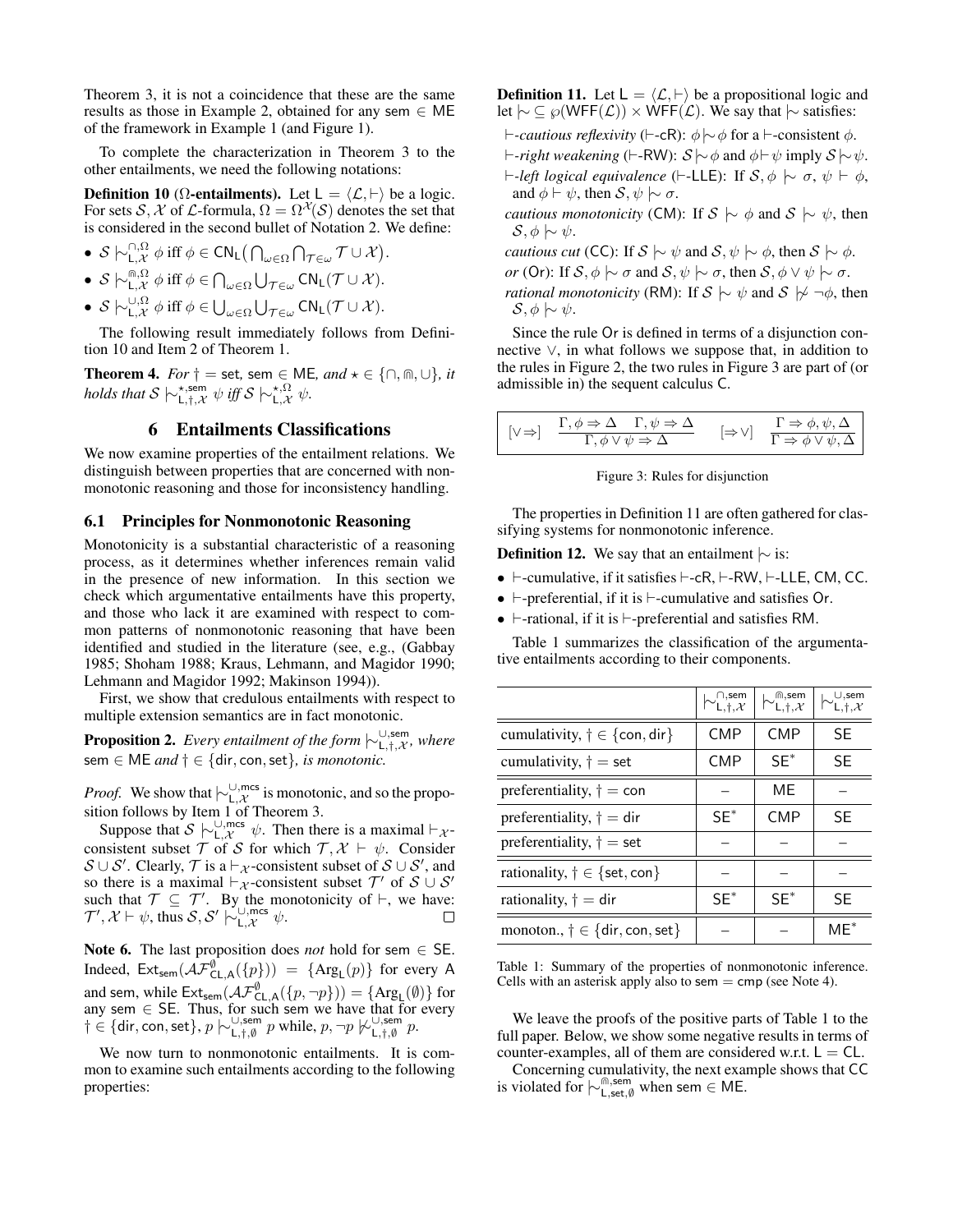Theorem [3,](#page-5-3) it is not a coincidence that these are the same results as those in Example [2,](#page-3-2) obtained for any sem  $\in$  ME of the framework in Example [1](#page-2-5) (and Figure [1\)](#page-2-4).

To complete the characterization in Theorem [3](#page-5-3) to the other entailments, we need the following notations:

<span id="page-6-1"></span>**Definition 10** ( $\Omega$ -entailments). Let  $L = \langle \mathcal{L}, \vdash \rangle$  be a logic. For sets S, X of L-formula,  $\Omega = \Omega^{\mathcal{X}}(S)$  denotes the set that is considered in the second bullet of Notation [2.](#page-4-4) We define:

• 
$$
S \upharpoonright_{\mathsf{L},\mathcal{X}}^{\mathsf{D},\Omega} \phi
$$
 iff  $\phi \in \mathsf{CN}_{\mathsf{L}}(\bigcap_{\omega \in \Omega} \bigcap_{\mathcal{T} \in \omega} \mathcal{T} \cup \mathcal{X}).$ 

•  $S \vdash_{\mathsf{L},\mathcal{X}}^{\mathsf{m},\Omega} \phi$  iff  $\phi \in \bigcap_{\omega \in \Omega} \bigcup_{\mathcal{T} \in \omega} \mathsf{CN}_\mathsf{L}(\mathcal{T} \cup \mathcal{X}).$ 

•  $S \vdash_{\mathsf{L},\mathcal{X}}^{\cup,\Omega} \phi$  iff  $\phi \in \bigcup_{\omega \in \Omega} \bigcup_{\mathcal{T} \in \omega} \mathsf{CN}_{\mathsf{L}}(\mathcal{T} \cup \mathcal{X}).$ 

The following result immediately follows from Definition [10](#page-6-1) and Item 2 of Theorem [1.](#page-4-3)

<span id="page-6-5"></span>**Theorem 4.** *For*  $\dagger$  = set, sem  $\in$  ME, and  $\star \in \{\cap, \text{m}, \cup\}, it$ *holds that*  $S \vdash_{\mathsf{L},\dagger,\mathcal{X}}^{\star,\mathsf{sem}} \psi$  *iff*  $S \vdash_{\mathsf{L},\mathcal{X}}^{\star,\Omega} \psi$ .

### 6 Entailments Classifications

<span id="page-6-0"></span>We now examine properties of the entailment relations. We distinguish between properties that are concerned with nonmonotonic reasoning and those for inconsistency handling.

## 6.1 Principles for Nonmonotonic Reasoning

Monotonicity is a substantial characteristic of a reasoning process, as it determines whether inferences remain valid in the presence of new information. In this section we check which argumentative entailments have this property, and those who lack it are examined with respect to common patterns of nonmonotonic reasoning that have been identified and studied in the literature (see, e.g., [\(Gabbay](#page-10-23) [1985;](#page-10-23) [Shoham 1988;](#page-10-24) [Kraus, Lehmann, and Magidor 1990;](#page-10-2) [Lehmann and Magidor 1992;](#page-10-25) [Makinson 1994\)](#page-10-5)).

First, we show that credulous entailments with respect to multiple extension semantics are in fact monotonic.

Proposition 2. Every entailment of the form  $\vdash_{\mathsf{L},\dagger,\mathcal{X}}^{\cup,\mathsf{sem}}$ , where sem ∈ ME *and* † ∈ {dir, con,set}*, is monotonic.*

*Proof.* We show that  $\vdash^{\cup,\text{mes}}_{\mathsf{L},\mathcal{X}}$  is monotonic, and so the proposition follows by Item 1 of Theorem [3.](#page-5-3)

Suppose that  $S \vdash_{\mathsf{L},\mathcal{X}}^{\cup,\mathsf{mcs}} \psi$ . Then there is a maximal  $\vdash_{\mathcal{X}}$ consistent subset  $\mathcal T$  of S for which  $\mathcal T, \mathcal X \vdash \psi$ . Consider  $S \cup S'$ . Clearly,  $\mathcal T$  is a  $\vdash_{\mathcal X}$ -consistent subset of  $S \cup S'$ , and so there is a maximal  $\vdash_{\mathcal{X}}$ -consistent subset  $\mathcal{T}'$  of  $\mathcal{S} \cup \mathcal{S}'$ such that  $\mathcal{T} \subseteq \mathcal{T}'$ . By the monotonicity of  $\vdash$ , we have:  $\mathcal{T}', \mathcal{X} \vdash \psi$ , thus  $\mathcal{S}, \mathcal{S}' \not\hspace{0.2em}\sim_{\mathsf{L},\mathcal{X}}^{\cup,\mathsf{mcs}} \psi$ .

Note 6. The last proposition does *not* hold for sem  $\in$  SE. Indeed,  $Ext_{sem}(\mathcal{AF}_{CL,A}^{0}(\{p\})) = \{Arg_{L}(p)\}$  for every A and sem, while  $\mathsf{Ext}_{sem}(\mathcal{AF}^{\emptyset}_{CL,A}(\{p, \neg p\})) = \{\mathrm{Arg}_L(\emptyset)\}\)$  for any sem  $\in$  SE. Thus, for such sem we have that for every † ∈ {dir, con, set}, p  $\vdash^{\cup, \text{sem}}_{\mathsf{L},\dagger,\emptyset}$  p while, p,  $\neg p \not\downarrow^{\cup, \text{sem}}_{\mathsf{L},\dagger,\emptyset}$  p.

We now turn to nonmonotonic entailments. It is common to examine such entailments according to the following properties:

<span id="page-6-3"></span>**Definition 11.** Let  $L = \langle \mathcal{L}, \vdash \rangle$  be a propositional logic and let  $\sim \subseteq \wp(WFF(\mathcal{L})) \times WFF(\mathcal{L})$ . We say that  $\sim$  satisfies: <sup>1</sup>-cautious reflexivity (<sup>1</sup>-cR): φ|∼φ for a <sup>1</sup>-consistent φ.  $\vdash$ -*right weakening* ( $\vdash$ -RW):  $S \sim \phi$  and  $\phi \vdash \psi$  imply  $S \sim \psi$ .  $\vdash$ -left logical equivalence ( $\vdash$ -LLE): If S,  $\phi \vdash \sigma, \psi \vdash \phi$ , and  $\phi \vdash \psi$ , then  $S, \psi \vdash \sigma$ . *cautious monotonicity* (CM): If  $S \sim \phi$  and  $S \sim \psi$ , then S,  $\phi$  | $∼$   $ψ$ . *cautious cut* (CC): If  $S \sim \psi$  and  $S, \psi \sim \phi$ , then  $S \sim \phi$ .

*or* (Or): If  $S$ ,  $\phi \sim \sigma$  and  $S$ ,  $\psi \sim \sigma$ , then  $S$ ,  $\phi \vee \psi \sim \sigma$ . *rational monotonicity* (RM): If  $S \sim \psi$  and  $S \not\sim \neg \phi$ , then  $\mathcal{S}, \phi \hspace{0.2em}\sim\hspace{-0.9em}\mid\hspace{0.58em} \psi.$ 

Since the rule Or is defined in terms of a disjunction connective ∨, in what follows we suppose that, in addition to the rules in Figure [2,](#page-3-1) the two rules in Figure [3](#page-6-2) are part of (or admissible in) the sequent calculus C.

<span id="page-6-2"></span>

| $[\vee \Rightarrow]$ | $\Gamma, \phi \Rightarrow \Delta \quad \Gamma, \psi \Rightarrow \Delta$ | $\Rightarrow$ $\vee$ | $\Gamma \Rightarrow \phi, \psi, \Delta$     |
|----------------------|-------------------------------------------------------------------------|----------------------|---------------------------------------------|
|                      | $\Gamma, \phi \vee \psi \Rightarrow \Delta$                             |                      | $\Gamma \Rightarrow \phi \vee \psi, \Delta$ |

Figure 3: Rules for disjunction

The properties in Definition [11](#page-6-3) are often gathered for classifying systems for nonmonotonic inference.

**Definition 12.** We say that an entailment  $\sim$  is:

- $\vdash$ -cumulative, if it satisfies  $\vdash$ -cR,  $\vdash$ -RW,  $\vdash$ -LLE, CM, CC.
- $\vdash$ -preferential, if it is  $\vdash$ -cumulative and satisfies Or.
- $\vdash$ -rational, if it is  $\vdash$ -preferential and satisfies RM.

Table [1](#page-6-4) summarizes the classification of the argumentative entailments according to their components.

<span id="page-6-4"></span>

|                                                                 | $\bigcup_{L, \dagger, \mathcal{X}}$ | $\hspace{0.2cm}\sim_{\mathsf{L},\dagger,\mathcal{X}}^{\scriptscriptstyle\mathsf{m},\mathsf{sem}}$ | $\cup$ , sem<br>$^{\prime}$ L.†. $\mathcal{X}$ |
|-----------------------------------------------------------------|-------------------------------------|---------------------------------------------------------------------------------------------------|------------------------------------------------|
| cumulativity, $\dagger \in \{\text{con}, \text{dir}\}\$         | <b>CMP</b>                          | <b>CMP</b>                                                                                        | <b>SE</b>                                      |
| cumulativity, $\dagger$ = set                                   | <b>CMP</b>                          | $SE^*$                                                                                            | <b>SE</b>                                      |
| preferentiality, $\dagger = \text{con}$                         |                                     | ME                                                                                                |                                                |
| preferentiality, $\dagger$ = dir                                | $SE^*$                              | <b>CMP</b>                                                                                        | <b>SE</b>                                      |
| preferentiality, $\dagger$ = set                                |                                     |                                                                                                   |                                                |
| rationality, $\dagger \in \{\text{set}, \text{con}\}\$          |                                     |                                                                                                   |                                                |
| rationality, $\dagger$ = dir                                    | $SE^*$                              | $SE^*$                                                                                            | <b>SE</b>                                      |
| monoton., $\dagger \in \{\text{dir}, \text{con}, \text{set}\}\$ |                                     |                                                                                                   | $MF^*$                                         |

Table 1: Summary of the properties of nonmonotonic inference. Cells with an asterisk apply also to sem  $=$  cmp (see Note [4\)](#page-5-1).

We leave the proofs of the positive parts of Table [1](#page-6-4) to the full paper. Below, we show some negative results in terms of counter-examples, all of them are considered w.r.t.  $L = CL$ .

Concerning cumulativity, the next example shows that CC is violated for  $\mid \sim_{L,\text{set},\emptyset}^{\text{max}}$  when sem ∈ ME.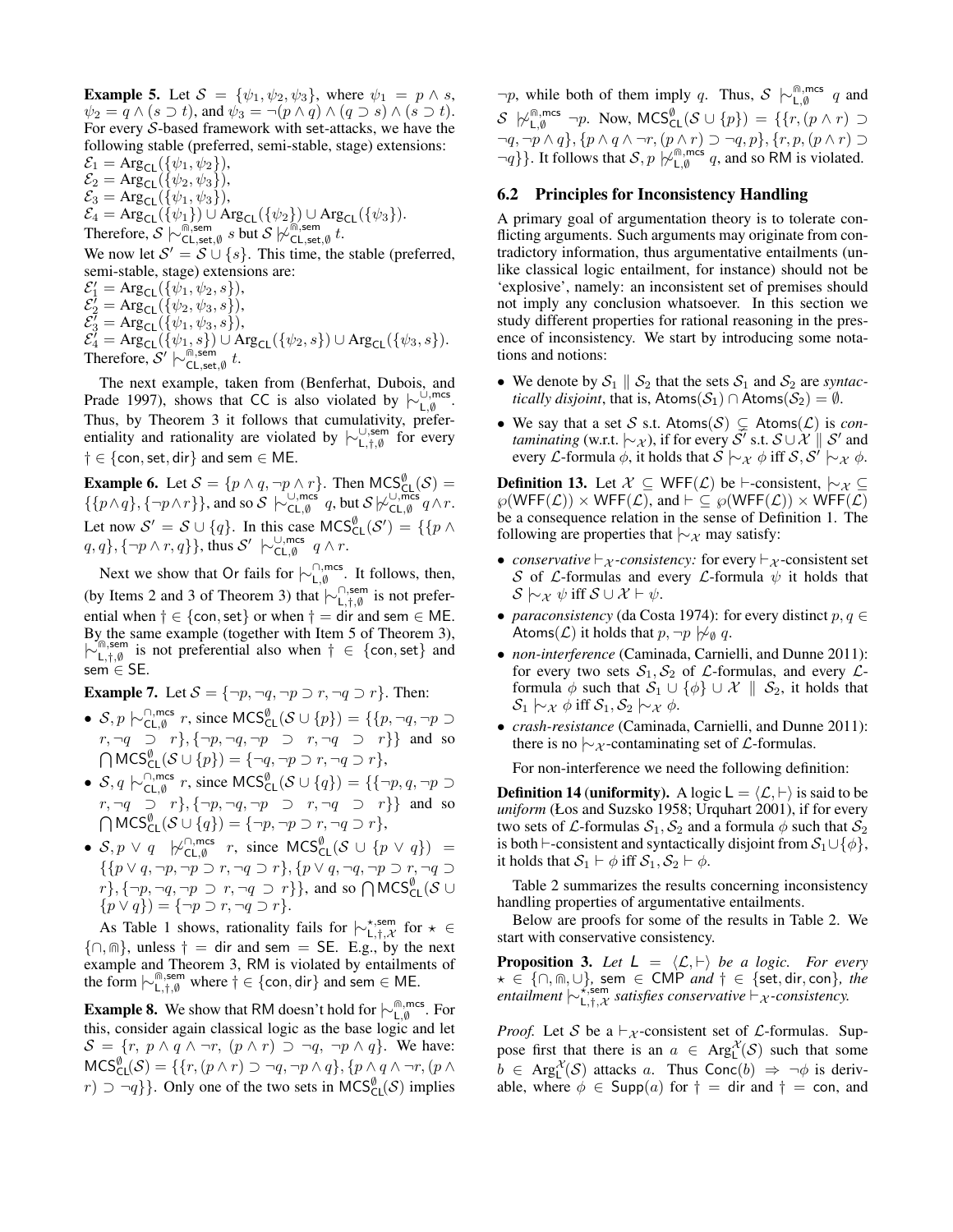**Example 5.** Let  $S = {\psi_1, \psi_2, \psi_3}$ , where  $\psi_1 = p \wedge s$ ,  $\psi_2 = q \wedge (s \supset t)$ , and  $\psi_3 = \neg (p \wedge q) \wedge (q \supset s) \wedge (s \supset t)$ . For every S-based framework with set-attacks, we have the following stable (preferred, semi-stable, stage) extensions:

 $\mathcal{E}_1 = \text{Arg}_{\text{CL}}(\{\psi_1, \psi_2\}),$  $\mathcal{E}_2 = \text{Arg}_{\text{CL}}(\{\psi_2, \psi_3\}),$  $\mathcal{E}_3 = \text{Arg}_{\text{CL}}(\{\psi_1, \psi_3\}),$  $\mathcal{E}_4 = \text{Arg}_{\text{CL}}(\{\psi_1\}) \cup \text{Arg}_{\text{CL}}(\{\psi_2\}) \cup \text{Arg}_{\text{CL}}(\{\psi_3\}).$ Therefore,  $S \n\sim_{\text{CL},\text{set},\emptyset}^{\text{max}} s$  but  $S \n\sim_{\text{CL},\text{set},\emptyset}^{\text{max}} t$ . We now let  $S' = S \cup \{s\}$ . This time, the stable (preferred,

semi-stable, stage) extensions are:

 $\mathcal{E}'_1 = \text{Arg}_{\textsf{CL}}(\{\psi_1, \psi_2, s\}),$  $\mathcal{E}_2^{\prime} = \mathrm{Arg}_{\mathsf{CL}}(\{\psi_2,\psi_3,s\}),$  $\mathcal{E}_{3}^{\overline{\prime}} = \text{Arg}_{\textsf{CL}}(\{\psi_1,\psi_3,s\}),$  $\mathcal{E}_4^{\gamma} = \text{Arg}_{\text{CL}}(\{\psi_1, s\}) \cup \text{Arg}_{\text{CL}}(\{\psi_2, s\}) \cup \text{Arg}_{\text{CL}}(\{\psi_3, s\}).$ Therefore,  $S' \not\sim_{\text{CL,set}, \emptyset}^{\text{max}} t$ .

The next example, taken from [\(Benferhat, Dubois, and](#page-9-28) [Prade 1997\)](#page-9-28), shows that CC is also violated by  $\vdash_{L,\emptyset}^{\cup,\text{mcs}}$ . Thus, by Theorem [3](#page-5-3) it follows that cumulativity, preferentiality and rationality are violated by  $\vdash_{L,\dagger,\emptyset}^{\cup,\text{sem of}}$  for every  $\dagger \in \{\text{con}, \text{set}, \text{dir}\}\$  and sem  $\in \mathsf{ME}.$ 

**Example 6.** Let  $S = \{p \land q, \neg p \land r\}$ . Then  $MCS_{\text{CL}}^{\emptyset}(\mathcal{S}) =$  $\{p\wedge q\}, \{\neg p\wedge r\}\}\$ , and so  $S \hspace{0.2cm} \sim \hspace{-0.9cm} \bigcup_{\text{CL,empty}}^{\cup, \text{mcs}} q$ , but  $S \not\sim_{\text{CL,empty}}^{\cup, \text{mcs}} q\wedge r$ . Let now  $S' = S \cup \{q\}$ . In this case  $MCS_{CL}^{\emptyset}(\mathcal{S}') = \{\{p \land \}$  $q, q\}, \{\neg p \wedge r, q\}\},$  thus  $\mathcal{S}' \not\sim_{\mathsf{CL}, \emptyset}^{\cup, \mathsf{mcs}} q \wedge r$ .

Next we show that Or fails for  $\vdash^{\cap, \text{mes}}_{\mathsf{L}, \emptyset}$ . It follows, then, (by Items 2 and 3 of Theorem [3\)](#page-5-3) that  $\vdash^{\cap,\text{sem}}_{\mathsf{L},\dagger,\emptyset}$  is not preferential when  $\dagger \in \{\text{con}, \text{set}\}\$  or when  $\dagger = \text{dir}$  and sem  $\in \mathsf{ME}$ . By the same example (together with Item 5 of Theorem [3\)](#page-5-3),  $\forall$   $\bigcap_{i,j,\emptyset}^{\emptyset}$  is not preferential also when  $\dagger \in \{\text{con},\text{set}\}\$  and sem ∈ SE.

**Example 7.** Let  $S = \{\neg p, \neg q, \neg p \supset r, \neg q \supset r\}$ . Then:

- $S, p \hspace{0.2em}\sim\hspace{-0.9em}\mid\hspace{0.58em} C_{\mathsf{CL},\emptyset}^{\cap, \mathsf{mcs}}$  r, since  $\mathsf{MCS}^{\emptyset}_{\mathsf{CL}}(\mathcal{S} \cup \{p\}) = \{\{p, \neg q, \neg p \supseteq$  $r, \neg q \supset r$ },  $\{\neg p, \neg q, \neg p \supset r, \neg q \supset r\}$  and so  $\bigcap \mathsf{MCS}^\emptyset_{\mathsf{CL}}(\mathcal{S} \cup \{p\}) = \{\neg q, \neg p \supset r, \neg q \supset r\},\$
- $S, q \models_{\mathsf{CL}, \emptyset}^{\cap, \mathsf{mcs}} r$ , since  $\mathsf{MCS}^{\emptyset}_{\mathsf{CL}}(\mathcal{S} \cup \{q\}) = \{\{\neg p, q, \neg p \supseteq \emptyset\} \mid \neg p, q, \neg p \supseteq \emptyset\}$  $r, \neg q \supset r$ }, { $\neg p, \neg q, \neg p \supset r, \neg q \supset r$ } and so  $\bigcap \mathsf{MCS}^\emptyset_{\mathsf{CL}}(\mathcal{S} \cup \{q\}) = \{\neg p, \neg p \supset r, \neg q \supset r\},\$
- $S, p \vee q \models_{\text{CL} \& A}^{\bigcap, \text{mcs}}$  $\bigcap_{\substack{CL, \emptyset}}^{\cap, \text{mes}} r$ , since  $\mathsf{MCS}_{\mathsf{CL}}^{\emptyset}(\mathcal{S} \cup \{p \lor q\}) =$  $\{p \lor q, \neg p, \neg p \supset r, \neg q \supset r\}, \{p \lor q, \neg q, \neg p \supset r, \neg q \supset r\}$  $r\}, \{\neg p, \neg q, \neg p \supset r, \neg q \supset r\}$ , and so  $\bigcap \text{MCS}^{\emptyset}_{\text{CL}}(\mathcal{S} \cup$  $\{p \vee q\}$ ) =  $\{\neg p \supset r, \neg q \supset r\}.$

As Table [1](#page-6-4) shows, rationality fails for  $\vdash_{L,t,\mathcal{X}}^{\star,\text{sem}}$  for  $\star \in$  $\{\cap, \emptyset\}$ , unless  $\dagger =$  dir and sem = SE. E.g., by the next example and Theorem [3,](#page-5-3) RM is violated by entailments of the form  $\vdash^{\text{(i),sem}}_{L,\dagger,\emptyset}$  where  $\dagger \in \{\text{con, dir}\}$  and sem  $\in \mathsf{ME}$ .

**Example 8.** We show that RM doesn't hold for  $\mid \sim_{L, \emptyset}^{\text{m,mes}}$ . For this, consider again classical logic as the base logic and let  $S = \{r, p \wedge q \wedge \neg r, (p \wedge r) \supset \neg q, \neg p \wedge q\}.$  We have:  $\mathsf{MCS}_{\mathsf{CL}}^{\emptyset}(\mathcal{S}) = \{\{r,(p\wedge r)\supset\neg q,\neg p\wedge q\},\{p\wedge q\wedge \neg r,(p\wedge q)\}$  $r) \supset \neg q$ }. Only one of the two sets in MCS $_{\text{CL}}^{\emptyset}(\mathcal{S})$  implies

 $\neg p$ , while both of them imply q. Thus,  $S \models^{\text{m,mes}}_{\text{L},\emptyset} q$  and S  $\beta \not\sim_{\mathsf{L},\emptyset}^{\mathsf{fn},\mathsf{mcs}} \neg p$ . Now, MCS $_{\mathsf{CL}}^{\emptyset}(\mathcal{S} \cup \{p\}) = \{\{r, (p \land r) \supseteq \emptyset\}$  $\neg q, \neg p \land q$ },  $\{p \land q \land \neg r, (p \land r) \supset \neg q, p\}$ ,  $\{r, p, (p \land r) \supset \neg r\}$  $\neg q$ }. It follows that  $S, p \not\vdash_{\mathsf{L}^{\mathsf{m},\mathsf{m}^{\mathsf{c}}}}$  $L_{\phi}^{[n], \text{mcs}}$  q, and so RM is violated.

#### 6.2 Principles for Inconsistency Handling

A primary goal of argumentation theory is to tolerate conflicting arguments. Such arguments may originate from contradictory information, thus argumentative entailments (unlike classical logic entailment, for instance) should not be 'explosive', namely: an inconsistent set of premises should not imply any conclusion whatsoever. In this section we study different properties for rational reasoning in the presence of inconsistency. We start by introducing some notations and notions:

- We denote by  $S_1 \parallel S_2$  that the sets  $S_1$  and  $S_2$  are *syntactically disjoint*, that is, Atoms( $S_1$ ) ∩ Atoms( $S_2$ ) =  $\emptyset$ .
- We say that a set S s.t. Atoms(S)  $\subsetneq$  Atoms(L) is *contaminating* (w.r.t.  $\mid\sim_{\mathcal{X}}$ ), if for every  $\mathcal{S}'$  s.t.  $\mathcal{S}\cup\mathcal{X}\parallel\mathcal{S}'$  and every *L*-formula  $\phi$ , it holds that  $S \mid\sim_{\mathcal{X}} \phi$  iff  $S, S' \mid\sim_{\mathcal{X}} \phi$ .

**Definition 13.** Let  $\mathcal{X} \subseteq \text{WFF}(\mathcal{L})$  be  $\vdash$ -consistent,  $\vdash_{\mathcal{X}} \subseteq$  $\wp(WFF(\mathcal{L})) \times WFF(\mathcal{L}),$  and  $\vdash \subseteq \wp(WFF(\mathcal{L})) \times WFF(\mathcal{L})$ be a consequence relation in the sense of Definition [1.](#page-1-3) The following are properties that  $\sim$ x may satisfy:

- *conservative*  $\vdash_{\mathcal{X}}$ *-consistency:* for every  $\vdash_{\mathcal{X}}$ *-consistent set* S of L-formulas and every L-formula  $\psi$  it holds that  $\mathcal{S} \models_{\mathcal{X}} \psi$  iff  $\mathcal{S} \cup \mathcal{X} \models \psi$ .
- *paraconsistency* [\(da Costa 1974\)](#page-10-6): for every distinct  $p, q \in$ Atoms( $\mathcal{L}$ ) it holds that  $p, \neg p \not\sim_{\emptyset} q$ .
- *non-interference* [\(Caminada, Carnielli, and Dunne 2011\)](#page-9-7): for every two sets  $S_1, S_2$  of  $\mathcal{L}$ -formulas, and every  $\mathcal{L}$ formula  $\phi$  such that  $S_1 \cup {\phi} \cup {\mathcal X} \parallel S_2$ , it holds that  $\mathcal{S}_1 \sim_{\mathcal{X}} \phi$  iff  $\mathcal{S}_1, \mathcal{S}_2 \sim_{\mathcal{X}} \phi$ .
- *crash-resistance* [\(Caminada, Carnielli, and Dunne 2011\)](#page-9-7): there is no  $\sim$   $\chi$ -contaminating set of  $\mathcal{L}$ -formulas.

For non-interference we need the following definition:

<span id="page-7-0"></span>**Definition 14 (uniformity).** A logic  $L = \langle \mathcal{L}, \vdash \rangle$  is said to be *uniform* [\(Łos and Suzsko 1958;](#page-10-26) [Urquhart 2001\)](#page-10-27), if for every two sets of *L*-formulas  $S_1, S_2$  and a formula  $\phi$  such that  $S_2$ is both  $\vdash$ -consistent and syntactically disjoint from  $S_1 \cup \{\phi\},\$ it holds that  $S_1 \vdash \phi$  iff  $S_1, S_2 \vdash \phi$ .

Table [2](#page-8-1) summarizes the results concerning inconsistency handling properties of argumentative entailments.

Below are proofs for some of the results in Table [2.](#page-8-1) We start with conservative consistency.

**Proposition 3.** Let  $L = \langle L, \vdash \rangle$  be a logic. For every ? ∈ {∩, e, ∪}*,* sem ∈ CMP *and* † ∈ {set, dir, con}*, the entailment*  $\vert \sim \chi_{L,\dagger,\mathcal{X}}^{\chi,\text{sem}}$  *satisfies conservative*  $\vdash_{\mathcal{X}}$ *-consistency.* 

*Proof.* Let S be a  $\vdash_{\mathcal{X}}$ -consistent set of L-formulas. Suppose first that there is an  $a \in \text{Arg}_L^{\mathcal{X}}(\mathcal{S})$  such that some  $b \in \text{Arg}_L^{\mathcal{X}}(\mathcal{S})$  attacks a. Thus Conc $(b) \Rightarrow \neg \phi$  is derivable, where  $\phi \in \text{Supp}(a)$  for  $\dagger = \text{dir}$  and  $\dagger = \text{con}$ , and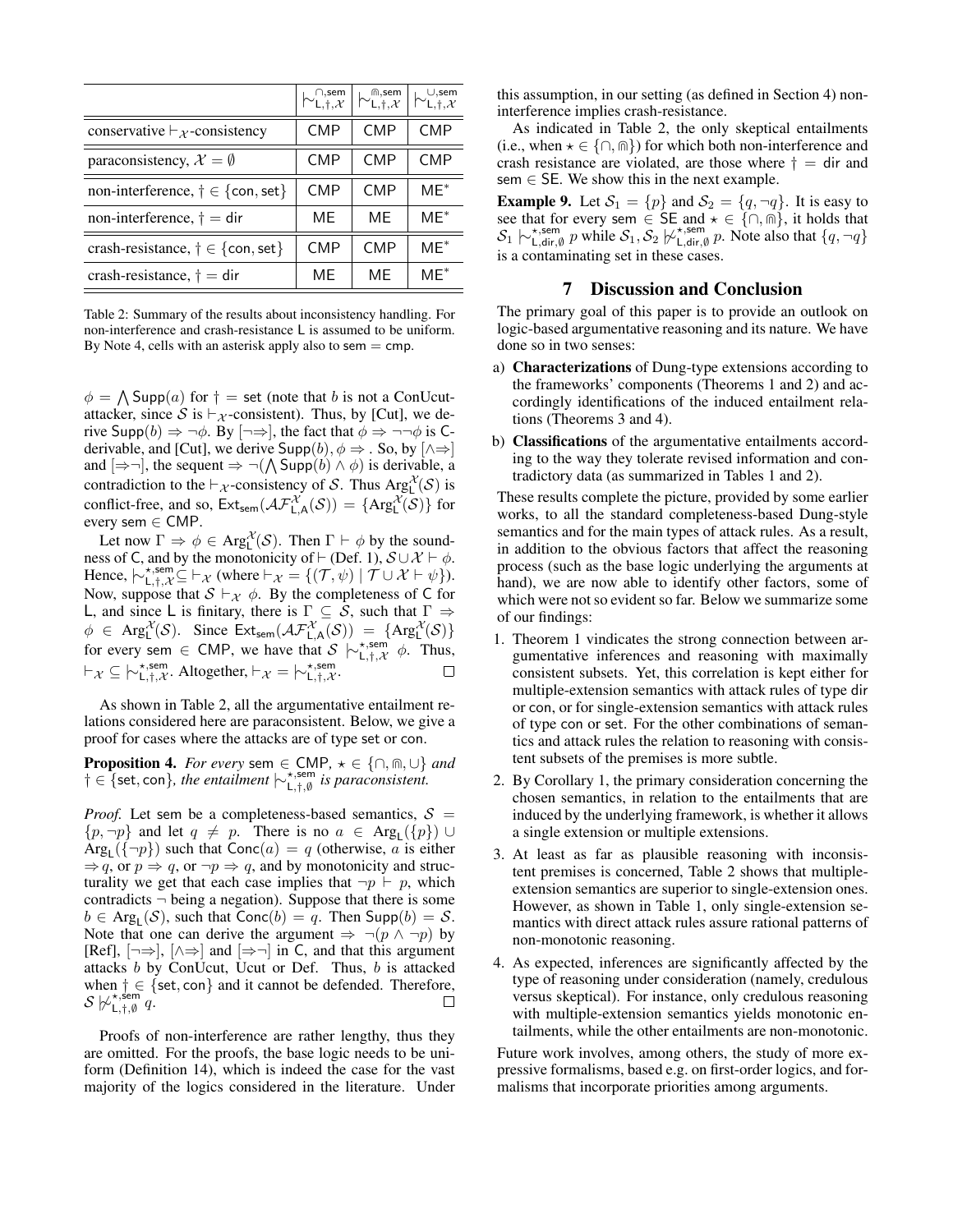<span id="page-8-1"></span>

|                                                             | $\vdash^{\cap,\mathsf{sem}}_{\mathsf{L},\dagger,\mathcal{X}}$ | $\vdash^{\textsf{\tiny m,sem}}_{\mathsf{L},\dagger,\mathcal{X}}$ | L.t. $\mathcal{X}$ |
|-------------------------------------------------------------|---------------------------------------------------------------|------------------------------------------------------------------|--------------------|
| conservative $\vdash_{\mathcal{X}}$ -consistency            | <b>CMP</b>                                                    | <b>CMP</b>                                                       | CMP                |
| paraconsistency, $\mathcal{X} = \emptyset$                  | <b>CMP</b>                                                    | <b>CMP</b>                                                       | CMP                |
| non-interference, $\dagger \in \{\text{con}, \text{set}\}\$ | <b>CMP</b>                                                    | <b>CMP</b>                                                       | $ME^*$             |
| non-interference, $\dagger$ = dir                           | ME                                                            | MF                                                               | $MF^*$             |
| crash-resistance, $\dagger \in \{\text{con}, \text{set}\}\$ | <b>CMP</b>                                                    | <b>CMP</b>                                                       | $ME^*$             |
| crash-resistance, $\dagger$ = dir                           | МE                                                            | MF                                                               | $MF^*$             |

Table 2: Summary of the results about inconsistency handling. For non-interference and crash-resistance L is assumed to be uniform. By Note [4,](#page-5-1) cells with an asterisk apply also to sem  $=$  cmp.

 $\phi = \bigwedge \text{Supp}(a)$  for  $\dagger =$  set (note that b is not a ConUcutattacker, since S is  $\vdash_{\mathcal{X}}$ -consistent). Thus, by [Cut], we derive Supp $(b) \Rightarrow \neg \phi$ . By  $[\neg \Rightarrow]$ , the fact that  $\phi \Rightarrow \neg \neg \phi$  is Cderivable, and [Cut], we derive  $\text{Supp}(b), \phi \Rightarrow$ . So, by  $[\wedge \Rightarrow]$ and  $[\Rightarrow \neg]$ , the sequent  $\Rightarrow \neg(\bigwedge \text{Supp}(b) \land \phi)$  is derivable, a contradiction to the  $\vdash_{\mathcal{X}}$ -consistency of S. Thus  $\text{Arg}^{\mathcal{X}}_{L}(\mathcal{S})$  is conflict-free, and so,  $Ext_{sem}(\mathcal{AF}_{L,A}^{\mathcal{X}}(\mathcal{S})) = \{Arg_{L}^{\mathcal{X}}(\mathcal{S})\}$  for every sem ∈ CMP.

Let now  $\Gamma \Rightarrow \phi \in \text{Arg}^{\mathcal{X}}_{\mathsf{L}}(\mathcal{S})$ . Then  $\Gamma \vdash \phi$  by the soundness of C, and by the monotonicity of  $\vdash$  (Def. [1\)](#page-1-3),  $S \cup \mathcal{X} \vdash \phi$ . Hence,  $\overline{\left\vert \big\langle \gamma_{L, \dagger, \chi}^{\star, \text{sem}} \right\vert} \subseteq \overline{\left\vert \chi \right\vert}$  (where  $\overline{\left\vert \chi \right\vert} = \{(\mathcal{T}, \psi) \mid \mathcal{T} \cup \mathcal{X} \vdash \psi\}$ ). Now, suppose that  $S \vdash_{\mathcal{X}} \phi$ . By the completeness of C for L, and since L is finitary, there is  $\Gamma \subseteq S$ , such that  $\Gamma \Rightarrow$  $\phi \in \text{Arg}_{L}^{\mathcal{X}}(\mathcal{S})$ . Since  $\text{Ext}_{\text{sem}}(\mathcal{AF}_{L,A}^{\mathcal{X}}(\mathcal{S})) = \{\text{Arg}_{L}^{\mathcal{X}}(\mathcal{S})\}$ for every sem  $\in$  CMP, we have that  $S \nightharpoonup_{L, \dagger, \mathcal{X}}^{\star, \text{sem}} \phi$ . Thus,  $\vdash_{\mathcal{X}} \subseteq \vdash^{\star,\text{sem}}_{\mathsf{L},\dagger,\mathcal{X}}$ . Altogether,  $\vdash_{\mathcal{X}} = \vdash^{\star,\text{sem}}_{\mathsf{L},\dagger,\mathcal{X}}$ .

As shown in Table [2,](#page-8-1) all the argumentative entailment relations considered here are paraconsistent. Below, we give a proof for cases where the attacks are of type set or con.

**Proposition 4.** *For every* sem  $\in$  CMP,  $\star \in \{\cap, \text{m}, \cup\}$  *and*  $\dagger \in {\mathsf{Set}, \mathsf{con}}$ *, the entailment*  $\vdash_{\mathsf{L},\dagger,\emptyset}^{\star,\mathsf{sem}}$  *is paraconsistent.* 

*Proof.* Let sem be a completeness-based semantics,  $S =$  $\{p, \neg p\}$  and let  $q \neq p$ . There is no  $a \in \text{Arg}_{\mathsf{L}}(\{p\}) \cup$  $Arg_{\mathsf{L}}(\{\neg p\})$  such that  $Conc(a) = q$  (otherwise, a is either  $\Rightarrow q$ , or  $p \Rightarrow q$ , or  $\neg p \Rightarrow q$ , and by monotonicity and structurality we get that each case implies that  $\neg p \vdash p$ , which contradicts  $\neg$  being a negation). Suppose that there is some  $b \in \text{Arg}_{\mathsf{L}}(\mathcal{S})$ , such that  $\text{Conc}(b) = q$ . Then  $\text{Supp}(b) = \mathcal{S}$ . Note that one can derive the argument  $\Rightarrow \neg (p \land \neg p)$  by [Ref],  $[\neg \Rightarrow]$ ,  $[\wedge \Rightarrow]$  and  $[\Rightarrow \neg]$  in C, and that this argument attacks  $b$  by ConUcut, Ucut or Def. Thus,  $b$  is attacked when  $\dagger \in \{$ set, con $\}$  and it cannot be defended. Therefore,  $\mathcal{S} \not\triangleright_{\mathsf{L},\dagger,\emptyset}^{\star,\mathsf{sem}} q.$ 

Proofs of non-interference are rather lengthy, thus they are omitted. For the proofs, the base logic needs to be uniform (Definition [14\)](#page-7-0), which is indeed the case for the vast majority of the logics considered in the literature. Under this assumption, in our setting (as defined in Section [4\)](#page-3-0) noninterference implies crash-resistance.

As indicated in Table [2,](#page-8-1) the only skeptical entailments (i.e., when  $\star \in \{\cap, \text{m}\}\)$  for which both non-interference and crash resistance are violated, are those where  $\dagger$  = dir and  $sem \in SE$ . We show this in the next example.

**Example 9.** Let  $S_1 = \{p\}$  and  $S_2 = \{q, \neg q\}$ . It is easy to see that for every sem  $\in$  SE and  $\star \in \{\cap,\widehat{\mathbb{N}}\}$ , it holds that  $S_1 \not\sim_{\mathsf{L},\mathsf{dir},\emptyset}^{\star,\mathsf{sem}} p$  while  $S_1, S_2 \not\sim_{\mathsf{L},\mathsf{dir},\emptyset}^{\star,\mathsf{sem}} p$ . Note also that  $\{q, \neg q\}$ is a contaminating set in these cases.

#### 7 Discussion and Conclusion

<span id="page-8-0"></span>The primary goal of this paper is to provide an outlook on logic-based argumentative reasoning and its nature. We have done so in two senses:

- a) Characterizations of Dung-type extensions according to the frameworks' components (Theorems [1](#page-4-3) and [2\)](#page-5-0) and accordingly identifications of the induced entailment relations (Theorems [3](#page-5-3) and [4\)](#page-6-5).
- b) Classifications of the argumentative entailments according to the way they tolerate revised information and contradictory data (as summarized in Tables [1](#page-6-4) and [2\)](#page-8-1).

These results complete the picture, provided by some earlier works, to all the standard completeness-based Dung-style semantics and for the main types of attack rules. As a result, in addition to the obvious factors that affect the reasoning process (such as the base logic underlying the arguments at hand), we are now able to identify other factors, some of which were not so evident so far. Below we summarize some of our findings:

- 1. Theorem [1](#page-4-3) vindicates the strong connection between argumentative inferences and reasoning with maximally consistent subsets. Yet, this correlation is kept either for multiple-extension semantics with attack rules of type dir or con, or for single-extension semantics with attack rules of type con or set. For the other combinations of semantics and attack rules the relation to reasoning with consistent subsets of the premises is more subtle.
- 2. By Corollary [1,](#page-5-4) the primary consideration concerning the chosen semantics, in relation to the entailments that are induced by the underlying framework, is whether it allows a single extension or multiple extensions.
- 3. At least as far as plausible reasoning with inconsistent premises is concerned, Table [2](#page-8-1) shows that multipleextension semantics are superior to single-extension ones. However, as shown in Table [1,](#page-6-4) only single-extension semantics with direct attack rules assure rational patterns of non-monotonic reasoning.
- 4. As expected, inferences are significantly affected by the type of reasoning under consideration (namely, credulous versus skeptical). For instance, only credulous reasoning with multiple-extension semantics yields monotonic entailments, while the other entailments are non-monotonic.

Future work involves, among others, the study of more expressive formalisms, based e.g. on first-order logics, and formalisms that incorporate priorities among arguments.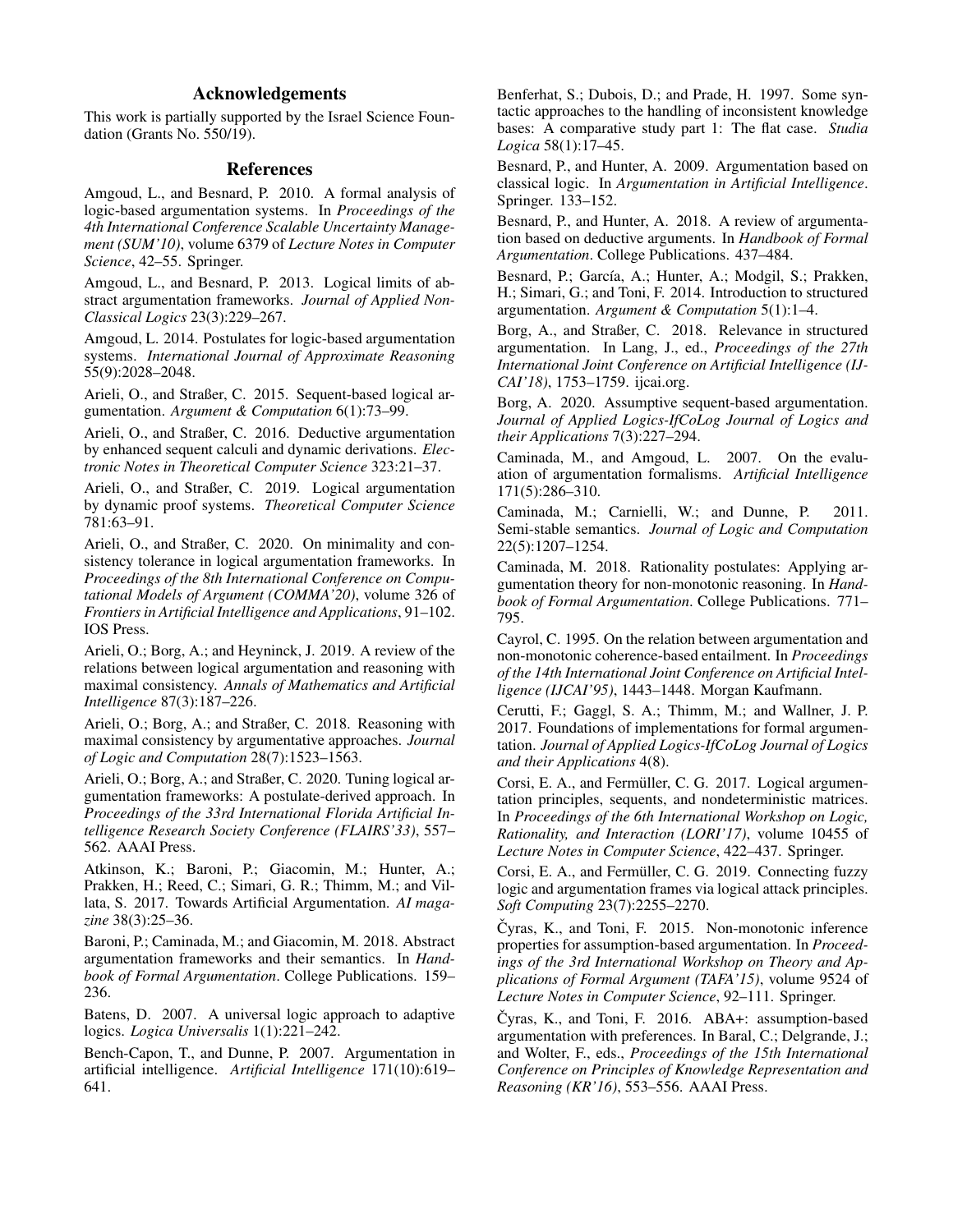# Acknowledgements

This work is partially supported by the Israel Science Foundation (Grants No. 550/19).

# References

<span id="page-9-8"></span>Amgoud, L., and Besnard, P. 2010. A formal analysis of logic-based argumentation systems. In *Proceedings of the 4th International Conference Scalable Uncertainty Management (SUM'10)*, volume 6379 of *Lecture Notes in Computer Science*, 42–55. Springer.

<span id="page-9-23"></span>Amgoud, L., and Besnard, P. 2013. Logical limits of abstract argumentation frameworks. *Journal of Applied Non-Classical Logics* 23(3):229–267.

<span id="page-9-11"></span>Amgoud, L. 2014. Postulates for logic-based argumentation systems. *International Journal of Approximate Reasoning* 55(9):2028–2048.

<span id="page-9-24"></span>Arieli, O., and Straßer, C. 2015. Sequent-based logical argumentation. *Argument & Computation* 6(1):73–99.

<span id="page-9-20"></span>Arieli, O., and Straßer, C. 2016. Deductive argumentation by enhanced sequent calculi and dynamic derivations. *Electronic Notes in Theoretical Computer Science* 323:21–37.

<span id="page-9-14"></span>Arieli, O., and Straßer, C. 2019. Logical argumentation by dynamic proof systems. *Theoretical Computer Science* 781:63–91.

<span id="page-9-25"></span>Arieli, O., and Straßer, C. 2020. On minimality and consistency tolerance in logical argumentation frameworks. In *Proceedings of the 8th International Conference on Computational Models of Argument (COMMA'20)*, volume 326 of *Frontiers in Artificial Intelligence and Applications*, 91–102. IOS Press.

<span id="page-9-18"></span>Arieli, O.; Borg, A.; and Heyninck, J. 2019. A review of the relations between logical argumentation and reasoning with maximal consistency. *Annals of Mathematics and Artificial Intelligence* 87(3):187–226.

<span id="page-9-17"></span>Arieli, O.; Borg, A.; and Straßer, C. 2018. Reasoning with maximal consistency by argumentative approaches. *Journal of Logic and Computation* 28(7):1523–1563.

<span id="page-9-9"></span>Arieli, O.; Borg, A.; and Straßer, C. 2020. Tuning logical argumentation frameworks: A postulate-derived approach. In *Proceedings of the 33rd International Florida Artificial Intelligence Research Society Conference (FLAIRS'33)*, 557– 562. AAAI Press.

<span id="page-9-1"></span>Atkinson, K.; Baroni, P.; Giacomin, M.; Hunter, A.; Prakken, H.; Reed, C.; Simari, G. R.; Thimm, M.; and Villata, S. 2017. Towards Artificial Argumentation. *AI magazine* 38(3):25–36.

<span id="page-9-27"></span>Baroni, P.; Caminada, M.; and Giacomin, M. 2018. Abstract argumentation frameworks and their semantics. In *Handbook of Formal Argumentation*. College Publications. 159– 236.

<span id="page-9-6"></span>Batens, D. 2007. A universal logic approach to adaptive logics. *Logica Universalis* 1(1):221–242.

<span id="page-9-0"></span>Bench-Capon, T., and Dunne, P. 2007. Argumentation in artificial intelligence. *Artificial Intelligence* 171(10):619– 641.

<span id="page-9-28"></span>Benferhat, S.; Dubois, D.; and Prade, H. 1997. Some syntactic approaches to the handling of inconsistent knowledge bases: A comparative study part 1: The flat case. *Studia Logica* 58(1):17–45.

<span id="page-9-22"></span>Besnard, P., and Hunter, A. 2009. Argumentation based on classical logic. In *Argumentation in Artificial Intelligence*. Springer. 133–152.

<span id="page-9-4"></span>Besnard, P., and Hunter, A. 2018. A review of argumentation based on deductive arguments. In *Handbook of Formal Argumentation*. College Publications. 437–484.

<span id="page-9-3"></span>Besnard, P.; García, A.; Hunter, A.; Modgil, S.; Prakken, H.; Simari, G.; and Toni, F. 2014. Introduction to structured argumentation. *Argument & Computation* 5(1):1–4.

<span id="page-9-21"></span>Borg, A., and Straßer, C. 2018. Relevance in structured argumentation. In Lang, J., ed., *Proceedings of the 27th International Joint Conference on Artificial Intelligence (IJ-CAI'18)*, 1753–1759. ijcai.org.

<span id="page-9-26"></span>Borg, A. 2020. Assumptive sequent-based argumentation. *Journal of Applied Logics-IfCoLog Journal of Logics and their Applications* 7(3):227–294.

<span id="page-9-10"></span>Caminada, M., and Amgoud, L. 2007. On the evaluation of argumentation formalisms. *Artificial Intelligence* 171(5):286–310.

<span id="page-9-7"></span>Caminada, M.; Carnielli, W.; and Dunne, P. 2011. Semi-stable semantics. *Journal of Logic and Computation* 22(5):1207–1254.

<span id="page-9-5"></span>Caminada, M. 2018. Rationality postulates: Applying argumentation theory for non-monotonic reasoning. In *Handbook of Formal Argumentation*. College Publications. 771– 795.

<span id="page-9-16"></span>Cayrol, C. 1995. On the relation between argumentation and non-monotonic coherence-based entailment. In *Proceedings of the 14th International Joint Conference on Artificial Intelligence (IJCAI'95)*, 1443–1448. Morgan Kaufmann.

<span id="page-9-2"></span>Cerutti, F.; Gaggl, S. A.; Thimm, M.; and Wallner, J. P. 2017. Foundations of implementations for formal argumentation. *Journal of Applied Logics-IfCoLog Journal of Logics and their Applications* 4(8).

<span id="page-9-12"></span>Corsi, E. A., and Fermüller, C. G. 2017. Logical argumentation principles, sequents, and nondeterministic matrices. In *Proceedings of the 6th International Workshop on Logic, Rationality, and Interaction (LORI'17)*, volume 10455 of *Lecture Notes in Computer Science*, 422–437. Springer.

<span id="page-9-13"></span>Corsi, E. A., and Fermüller, C. G. 2019. Connecting fuzzy logic and argumentation frames via logical attack principles. *Soft Computing* 23(7):2255–2270.

<span id="page-9-15"></span>Čyras, K., and Toni, F. 2015. Non-monotonic inference properties for assumption-based argumentation. In *Proceedings of the 3rd International Workshop on Theory and Applications of Formal Argument (TAFA'15)*, volume 9524 of *Lecture Notes in Computer Science*, 92–111. Springer.

<span id="page-9-19"></span>Čyras, K., and Toni, F.  $2016$ . ABA+: assumption-based argumentation with preferences. In Baral, C.; Delgrande, J.; and Wolter, F., eds., *Proceedings of the 15th International Conference on Principles of Knowledge Representation and Reasoning (KR'16)*, 553–556. AAAI Press.